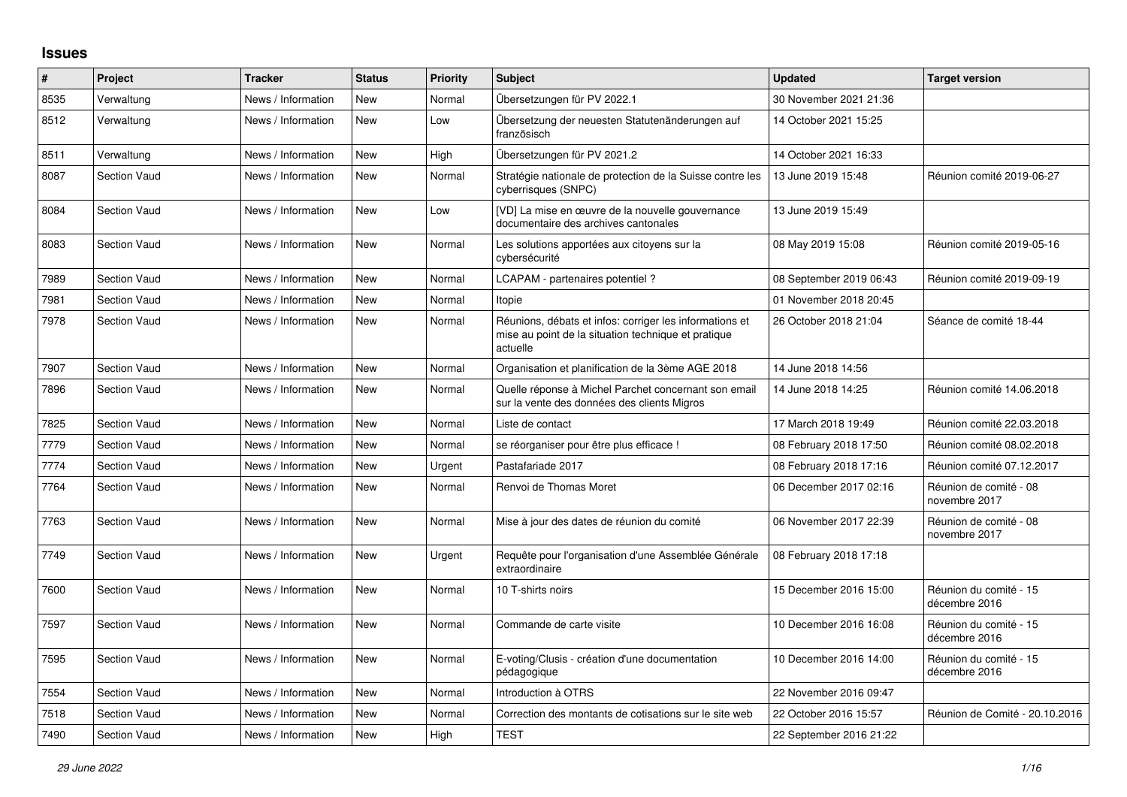## **Issues**

| $\vert$ # | Project             | <b>Tracker</b>     | <b>Status</b> | <b>Priority</b> | <b>Subject</b>                                                                                                             | <b>Updated</b>          | <b>Target version</b>                   |
|-----------|---------------------|--------------------|---------------|-----------------|----------------------------------------------------------------------------------------------------------------------------|-------------------------|-----------------------------------------|
| 8535      | Verwaltung          | News / Information | New           | Normal          | Übersetzungen für PV 2022.1                                                                                                | 30 November 2021 21:36  |                                         |
| 8512      | Verwaltung          | News / Information | New           | Low             | Übersetzung der neuesten Statutenänderungen auf<br>französisch                                                             | 14 October 2021 15:25   |                                         |
| 8511      | Verwaltung          | News / Information | <b>New</b>    | High            | Übersetzungen für PV 2021.2                                                                                                | 14 October 2021 16:33   |                                         |
| 8087      | <b>Section Vaud</b> | News / Information | <b>New</b>    | Normal          | Stratégie nationale de protection de la Suisse contre les<br>cyberrisques (SNPC)                                           | 13 June 2019 15:48      | Réunion comité 2019-06-27               |
| 8084      | <b>Section Vaud</b> | News / Information | <b>New</b>    | Low             | [VD] La mise en œuvre de la nouvelle gouvernance<br>documentaire des archives cantonales                                   | 13 June 2019 15:49      |                                         |
| 8083      | <b>Section Vaud</b> | News / Information | <b>New</b>    | Normal          | Les solutions apportées aux citoyens sur la<br>cybersécurité                                                               | 08 May 2019 15:08       | Réunion comité 2019-05-16               |
| 7989      | Section Vaud        | News / Information | New           | Normal          | LCAPAM - partenaires potentiel?                                                                                            | 08 September 2019 06:43 | Réunion comité 2019-09-19               |
| 7981      | <b>Section Vaud</b> | News / Information | New           | Normal          | Itopie                                                                                                                     | 01 November 2018 20:45  |                                         |
| 7978      | <b>Section Vaud</b> | News / Information | <b>New</b>    | Normal          | Réunions, débats et infos: corriger les informations et<br>mise au point de la situation technique et pratique<br>actuelle | 26 October 2018 21:04   | Séance de comité 18-44                  |
| 7907      | <b>Section Vaud</b> | News / Information | New           | Normal          | Organisation et planification de la 3ème AGE 2018                                                                          | 14 June 2018 14:56      |                                         |
| 7896      | <b>Section Vaud</b> | News / Information | <b>New</b>    | Normal          | Quelle réponse à Michel Parchet concernant son email<br>sur la vente des données des clients Migros                        | 14 June 2018 14:25      | Réunion comité 14.06.2018               |
| 7825      | <b>Section Vaud</b> | News / Information | New           | Normal          | Liste de contact                                                                                                           | 17 March 2018 19:49     | Réunion comité 22.03.2018               |
| 7779      | <b>Section Vaud</b> | News / Information | <b>New</b>    | Normal          | se réorganiser pour être plus efficace !                                                                                   | 08 February 2018 17:50  | Réunion comité 08.02.2018               |
| 7774      | <b>Section Vaud</b> | News / Information | New           | Urgent          | Pastafariade 2017                                                                                                          | 08 February 2018 17:16  | Réunion comité 07.12.2017               |
| 7764      | <b>Section Vaud</b> | News / Information | <b>New</b>    | Normal          | Renvoi de Thomas Moret                                                                                                     | 06 December 2017 02:16  | Réunion de comité - 08<br>novembre 2017 |
| 7763      | <b>Section Vaud</b> | News / Information | New           | Normal          | Mise à jour des dates de réunion du comité                                                                                 | 06 November 2017 22:39  | Réunion de comité - 08<br>novembre 2017 |
| 7749      | <b>Section Vaud</b> | News / Information | New           | Urgent          | Requête pour l'organisation d'une Assemblée Générale<br>extraordinaire                                                     | 08 February 2018 17:18  |                                         |
| 7600      | <b>Section Vaud</b> | News / Information | <b>New</b>    | Normal          | 10 T-shirts noirs                                                                                                          | 15 December 2016 15:00  | Réunion du comité - 15<br>décembre 2016 |
| 7597      | <b>Section Vaud</b> | News / Information | New           | Normal          | Commande de carte visite                                                                                                   | 10 December 2016 16:08  | Réunion du comité - 15<br>décembre 2016 |
| 7595      | <b>Section Vaud</b> | News / Information | New           | Normal          | E-voting/Clusis - création d'une documentation<br>pédagogique                                                              | 10 December 2016 14:00  | Réunion du comité - 15<br>décembre 2016 |
| 7554      | <b>Section Vaud</b> | News / Information | New           | Normal          | Introduction à OTRS                                                                                                        | 22 November 2016 09:47  |                                         |
| 7518      | <b>Section Vaud</b> | News / Information | New           | Normal          | Correction des montants de cotisations sur le site web                                                                     | 22 October 2016 15:57   | Réunion de Comité - 20.10.2016          |
| 7490      | <b>Section Vaud</b> | News / Information | New           | High            | <b>TEST</b>                                                                                                                | 22 September 2016 21:22 |                                         |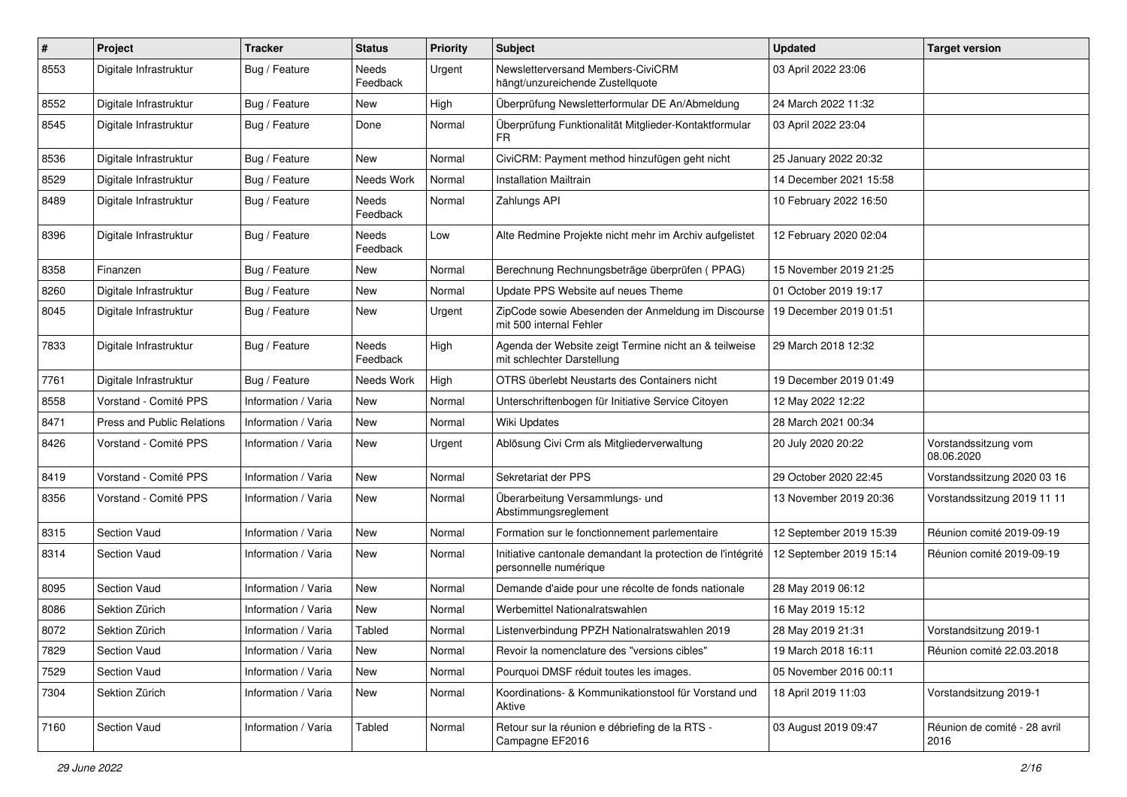| $\pmb{\#}$ | Project                           | <b>Tracker</b>      | <b>Status</b>            | <b>Priority</b> | Subject                                                                              | <b>Updated</b>          | <b>Target version</b>                |
|------------|-----------------------------------|---------------------|--------------------------|-----------------|--------------------------------------------------------------------------------------|-------------------------|--------------------------------------|
| 8553       | Digitale Infrastruktur            | Bug / Feature       | Needs<br>Feedback        | Urgent          | Newsletterversand Members-CiviCRM<br>hängt/unzureichende Zustellquote                | 03 April 2022 23:06     |                                      |
| 8552       | Digitale Infrastruktur            | Bug / Feature       | New                      | High            | Überprüfung Newsletterformular DE An/Abmeldung                                       | 24 March 2022 11:32     |                                      |
| 8545       | Digitale Infrastruktur            | Bug / Feature       | Done                     | Normal          | Überprüfung Funktionalität Mitglieder-Kontaktformular<br><b>FR</b>                   | 03 April 2022 23:04     |                                      |
| 8536       | Digitale Infrastruktur            | Bug / Feature       | New                      | Normal          | CiviCRM: Payment method hinzufügen geht nicht                                        | 25 January 2022 20:32   |                                      |
| 8529       | Digitale Infrastruktur            | Bug / Feature       | Needs Work               | Normal          | <b>Installation Mailtrain</b>                                                        | 14 December 2021 15:58  |                                      |
| 8489       | Digitale Infrastruktur            | Bug / Feature       | Needs<br>Feedback        | Normal          | Zahlungs API                                                                         | 10 February 2022 16:50  |                                      |
| 8396       | Digitale Infrastruktur            | Bug / Feature       | Needs<br>Feedback        | Low             | Alte Redmine Projekte nicht mehr im Archiv aufgelistet                               | 12 February 2020 02:04  |                                      |
| 8358       | Finanzen                          | Bug / Feature       | New                      | Normal          | Berechnung Rechnungsbeträge überprüfen (PPAG)                                        | 15 November 2019 21:25  |                                      |
| 8260       | Digitale Infrastruktur            | Bug / Feature       | <b>New</b>               | Normal          | Update PPS Website auf neues Theme                                                   | 01 October 2019 19:17   |                                      |
| 8045       | Digitale Infrastruktur            | Bug / Feature       | New                      | Urgent          | ZipCode sowie Abesenden der Anmeldung im Discourse<br>mit 500 internal Fehler        | 19 December 2019 01:51  |                                      |
| 7833       | Digitale Infrastruktur            | Bug / Feature       | <b>Needs</b><br>Feedback | High            | Agenda der Website zeigt Termine nicht an & teilweise<br>mit schlechter Darstellung  | 29 March 2018 12:32     |                                      |
| 7761       | Digitale Infrastruktur            | Bug / Feature       | Needs Work               | High            | OTRS überlebt Neustarts des Containers nicht                                         | 19 December 2019 01:49  |                                      |
| 8558       | Vorstand - Comité PPS             | Information / Varia | New                      | Normal          | Unterschriftenbogen für Initiative Service Citoyen                                   | 12 May 2022 12:22       |                                      |
| 8471       | <b>Press and Public Relations</b> | Information / Varia | New                      | Normal          | Wiki Updates                                                                         | 28 March 2021 00:34     |                                      |
| 8426       | Vorstand - Comité PPS             | Information / Varia | <b>New</b>               | Urgent          | Ablösung Civi Crm als Mitgliederverwaltung                                           | 20 July 2020 20:22      | Vorstandssitzung vom<br>08.06.2020   |
| 8419       | Vorstand - Comité PPS             | Information / Varia | <b>New</b>               | Normal          | Sekretariat der PPS                                                                  | 29 October 2020 22:45   | Vorstandssitzung 2020 03 16          |
| 8356       | Vorstand - Comité PPS             | Information / Varia | <b>New</b>               | Normal          | Überarbeitung Versammlungs- und<br>Abstimmungsreglement                              | 13 November 2019 20:36  | Vorstandssitzung 2019 11 11          |
| 8315       | Section Vaud                      | Information / Varia | <b>New</b>               | Normal          | Formation sur le fonctionnement parlementaire                                        | 12 September 2019 15:39 | Réunion comité 2019-09-19            |
| 8314       | <b>Section Vaud</b>               | Information / Varia | New                      | Normal          | Initiative cantonale demandant la protection de l'intégrité<br>personnelle numérique | 12 September 2019 15:14 | Réunion comité 2019-09-19            |
| 8095       | Section Vaud                      | Information / Varia | <b>New</b>               | Normal          | Demande d'aide pour une récolte de fonds nationale                                   | 28 May 2019 06:12       |                                      |
| 8086       | Sektion Zürich                    | Information / Varia | New                      | Normal          | Werbemittel Nationalratswahlen                                                       | 16 May 2019 15:12       |                                      |
| 8072       | Sektion Zürich                    | Information / Varia | Tabled                   | Normal          | Listenverbindung PPZH Nationalratswahlen 2019                                        | 28 May 2019 21:31       | Vorstandsitzung 2019-1               |
| 7829       | Section Vaud                      | Information / Varia | New                      | Normal          | Revoir la nomenclature des "versions cibles"                                         | 19 March 2018 16:11     | Réunion comité 22.03.2018            |
| 7529       | Section Vaud                      | Information / Varia | New                      | Normal          | Pourquoi DMSF réduit toutes les images.                                              | 05 November 2016 00:11  |                                      |
| 7304       | Sektion Zürich                    | Information / Varia | New                      | Normal          | Koordinations- & Kommunikationstool für Vorstand und<br>Aktive                       | 18 April 2019 11:03     | Vorstandsitzung 2019-1               |
| 7160       | Section Vaud                      | Information / Varia | Tabled                   | Normal          | Retour sur la réunion e débriefing de la RTS -<br>Campagne EF2016                    | 03 August 2019 09:47    | Réunion de comité - 28 avril<br>2016 |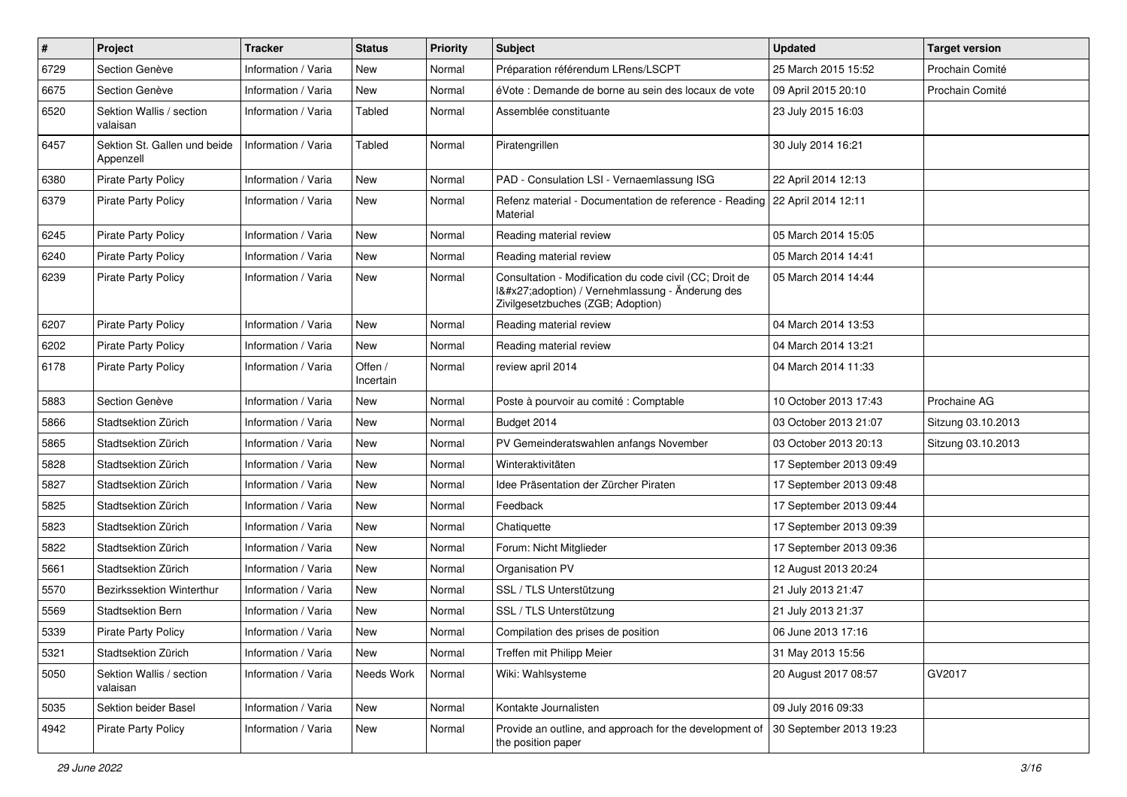| $\pmb{\#}$ | Project                                   | <b>Tracker</b>      | <b>Status</b>        | <b>Priority</b> | <b>Subject</b>                                                                                                                              | <b>Updated</b>          | <b>Target version</b> |
|------------|-------------------------------------------|---------------------|----------------------|-----------------|---------------------------------------------------------------------------------------------------------------------------------------------|-------------------------|-----------------------|
| 6729       | Section Genève                            | Information / Varia | New                  | Normal          | Préparation référendum LRens/LSCPT                                                                                                          | 25 March 2015 15:52     | Prochain Comité       |
| 6675       | Section Genève                            | Information / Varia | New                  | Normal          | éVote : Demande de borne au sein des locaux de vote                                                                                         | 09 April 2015 20:10     | Prochain Comité       |
| 6520       | Sektion Wallis / section<br>valaisan      | Information / Varia | Tabled               | Normal          | Assemblée constituante                                                                                                                      | 23 July 2015 16:03      |                       |
| 6457       | Sektion St. Gallen und beide<br>Appenzell | Information / Varia | Tabled               | Normal          | Piratengrillen                                                                                                                              | 30 July 2014 16:21      |                       |
| 6380       | <b>Pirate Party Policy</b>                | Information / Varia | New                  | Normal          | PAD - Consulation LSI - Vernaemlassung ISG                                                                                                  | 22 April 2014 12:13     |                       |
| 6379       | <b>Pirate Party Policy</b>                | Information / Varia | New                  | Normal          | Refenz material - Documentation de reference - Reading<br>Material                                                                          | 22 April 2014 12:11     |                       |
| 6245       | <b>Pirate Party Policy</b>                | Information / Varia | <b>New</b>           | Normal          | Reading material review                                                                                                                     | 05 March 2014 15:05     |                       |
| 6240       | <b>Pirate Party Policy</b>                | Information / Varia | New                  | Normal          | Reading material review                                                                                                                     | 05 March 2014 14:41     |                       |
| 6239       | <b>Pirate Party Policy</b>                | Information / Varia | New                  | Normal          | Consultation - Modification du code civil (CC; Droit de<br>I'adoption) / Vernehmlassung - Änderung des<br>Zivilgesetzbuches (ZGB; Adoption) | 05 March 2014 14:44     |                       |
| 6207       | <b>Pirate Party Policy</b>                | Information / Varia | <b>New</b>           | Normal          | Reading material review                                                                                                                     | 04 March 2014 13:53     |                       |
| 6202       | <b>Pirate Party Policy</b>                | Information / Varia | New                  | Normal          | Reading material review                                                                                                                     | 04 March 2014 13:21     |                       |
| 6178       | <b>Pirate Party Policy</b>                | Information / Varia | Offen /<br>Incertain | Normal          | review april 2014                                                                                                                           | 04 March 2014 11:33     |                       |
| 5883       | Section Genève                            | Information / Varia | New                  | Normal          | Poste à pourvoir au comité : Comptable                                                                                                      | 10 October 2013 17:43   | Prochaine AG          |
| 5866       | Stadtsektion Zürich                       | Information / Varia | <b>New</b>           | Normal          | Budget 2014                                                                                                                                 | 03 October 2013 21:07   | Sitzung 03.10.2013    |
| 5865       | Stadtsektion Zürich                       | Information / Varia | <b>New</b>           | Normal          | PV Gemeinderatswahlen anfangs November                                                                                                      | 03 October 2013 20:13   | Sitzung 03.10.2013    |
| 5828       | Stadtsektion Zürich                       | Information / Varia | <b>New</b>           | Normal          | Winteraktivitäten                                                                                                                           | 17 September 2013 09:49 |                       |
| 5827       | Stadtsektion Zürich                       | Information / Varia | <b>New</b>           | Normal          | Idee Präsentation der Zürcher Piraten                                                                                                       | 17 September 2013 09:48 |                       |
| 5825       | Stadtsektion Zürich                       | Information / Varia | New                  | Normal          | Feedback                                                                                                                                    | 17 September 2013 09:44 |                       |
| 5823       | Stadtsektion Zürich                       | Information / Varia | <b>New</b>           | Normal          | Chatiquette                                                                                                                                 | 17 September 2013 09:39 |                       |
| 5822       | Stadtsektion Zürich                       | Information / Varia | <b>New</b>           | Normal          | Forum: Nicht Mitglieder                                                                                                                     | 17 September 2013 09:36 |                       |
| 5661       | Stadtsektion Zürich                       | Information / Varia | <b>New</b>           | Normal          | Organisation PV                                                                                                                             | 12 August 2013 20:24    |                       |
| 5570       | Bezirkssektion Winterthur                 | Information / Varia | <b>New</b>           | Normal          | SSL / TLS Unterstützung                                                                                                                     | 21 July 2013 21:47      |                       |
| 5569       | Stadtsektion Bern                         | Information / Varia | <b>New</b>           | Normal          | SSL / TLS Unterstützung                                                                                                                     | 21 July 2013 21:37      |                       |
| 5339       | <b>Pirate Party Policy</b>                | Information / Varia | New                  | Normal          | Compilation des prises de position                                                                                                          | 06 June 2013 17:16      |                       |
| 5321       | Stadtsektion Zürich                       | Information / Varia | New                  | Normal          | Treffen mit Philipp Meier                                                                                                                   | 31 May 2013 15:56       |                       |
| 5050       | Sektion Wallis / section<br>valaisan      | Information / Varia | Needs Work           | Normal          | Wiki: Wahlsysteme                                                                                                                           | 20 August 2017 08:57    | GV2017                |
| 5035       | Sektion beider Basel                      | Information / Varia | New                  | Normal          | Kontakte Journalisten                                                                                                                       | 09 July 2016 09:33      |                       |
| 4942       | <b>Pirate Party Policy</b>                | Information / Varia | New                  | Normal          | Provide an outline, and approach for the development of<br>the position paper                                                               | 30 September 2013 19:23 |                       |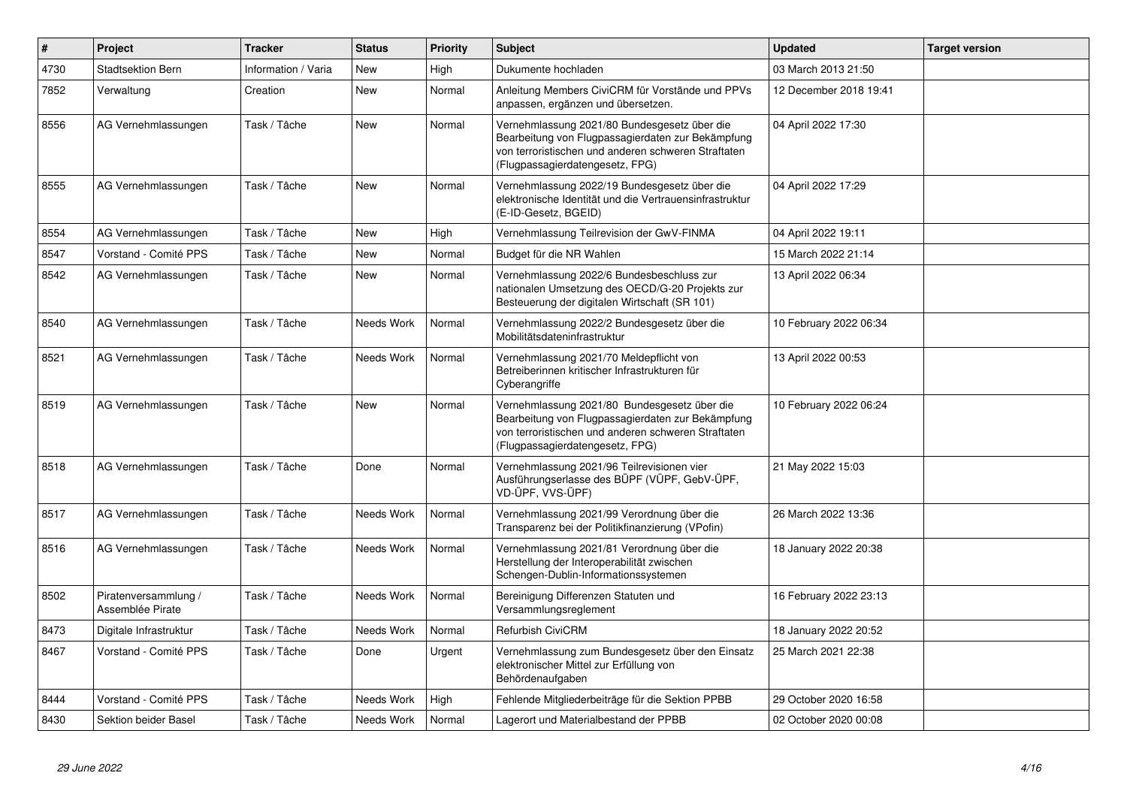| $\vert$ # | Project                                  | <b>Tracker</b>      | <b>Status</b> | <b>Priority</b> | <b>Subject</b>                                                                                                                                                                              | <b>Updated</b>         | <b>Target version</b> |
|-----------|------------------------------------------|---------------------|---------------|-----------------|---------------------------------------------------------------------------------------------------------------------------------------------------------------------------------------------|------------------------|-----------------------|
| 4730      | <b>Stadtsektion Bern</b>                 | Information / Varia | <b>New</b>    | High            | Dukumente hochladen                                                                                                                                                                         | 03 March 2013 21:50    |                       |
| 7852      | Verwaltung                               | Creation            | New           | Normal          | Anleitung Members CiviCRM für Vorstände und PPVs<br>anpassen, ergänzen und übersetzen.                                                                                                      | 12 December 2018 19:41 |                       |
| 8556      | AG Vernehmlassungen                      | Task / Tâche        | New           | Normal          | Vernehmlassung 2021/80 Bundesgesetz über die<br>Bearbeitung von Flugpassagierdaten zur Bekämpfung<br>von terroristischen und anderen schweren Straftaten<br>(Flugpassagierdatengesetz, FPG) | 04 April 2022 17:30    |                       |
| 8555      | AG Vernehmlassungen                      | Task / Tâche        | New           | Normal          | Vernehmlassung 2022/19 Bundesgesetz über die<br>elektronische Identität und die Vertrauensinfrastruktur<br>(E-ID-Gesetz, BGEID)                                                             | 04 April 2022 17:29    |                       |
| 8554      | AG Vernehmlassungen                      | Task / Tâche        | <b>New</b>    | High            | Vernehmlassung Teilrevision der GwV-FINMA                                                                                                                                                   | 04 April 2022 19:11    |                       |
| 8547      | Vorstand - Comité PPS                    | Task / Tâche        | <b>New</b>    | Normal          | Budget für die NR Wahlen                                                                                                                                                                    | 15 March 2022 21:14    |                       |
| 8542      | AG Vernehmlassungen                      | Task / Tâche        | New           | Normal          | Vernehmlassung 2022/6 Bundesbeschluss zur<br>nationalen Umsetzung des OECD/G-20 Projekts zur<br>Besteuerung der digitalen Wirtschaft (SR 101)                                               | 13 April 2022 06:34    |                       |
| 8540      | AG Vernehmlassungen                      | Task / Tâche        | Needs Work    | Normal          | Vernehmlassung 2022/2 Bundesgesetz über die<br>Mobilitätsdateninfrastruktur                                                                                                                 | 10 February 2022 06:34 |                       |
| 8521      | AG Vernehmlassungen                      | Task / Tâche        | Needs Work    | Normal          | Vernehmlassung 2021/70 Meldepflicht von<br>Betreiberinnen kritischer Infrastrukturen für<br>Cyberangriffe                                                                                   | 13 April 2022 00:53    |                       |
| 8519      | AG Vernehmlassungen                      | Task / Tâche        | New           | Normal          | Vernehmlassung 2021/80 Bundesgesetz über die<br>Bearbeitung von Flugpassagierdaten zur Bekämpfung<br>von terroristischen und anderen schweren Straftaten<br>(Flugpassagierdatengesetz, FPG) | 10 February 2022 06:24 |                       |
| 8518      | AG Vernehmlassungen                      | Task / Tâche        | Done          | Normal          | Vernehmlassung 2021/96 Teilrevisionen vier<br>Ausführungserlasse des BÜPF (VÜPF, GebV-ÜPF,<br>VD-ÜPF, VVS-ÜPF)                                                                              | 21 May 2022 15:03      |                       |
| 8517      | AG Vernehmlassungen                      | Task / Tâche        | Needs Work    | Normal          | Vernehmlassung 2021/99 Verordnung über die<br>Transparenz bei der Politikfinanzierung (VPofin)                                                                                              | 26 March 2022 13:36    |                       |
| 8516      | AG Vernehmlassungen                      | Task / Tâche        | Needs Work    | Normal          | Vernehmlassung 2021/81 Verordnung über die<br>Herstellung der Interoperabilität zwischen<br>Schengen-Dublin-Informationssystemen                                                            | 18 January 2022 20:38  |                       |
| 8502      | Piratenversammlung /<br>Assemblée Pirate | Task / Tâche        | Needs Work    | Normal          | Bereinigung Differenzen Statuten und<br>Versammlungsreglement                                                                                                                               | 16 February 2022 23:13 |                       |
| 8473      | Digitale Infrastruktur                   | Task / Tâche        | Needs Work    | Normal          | <b>Refurbish CiviCRM</b>                                                                                                                                                                    | 18 January 2022 20:52  |                       |
| 8467      | Vorstand - Comité PPS                    | Task / Tâche        | Done          | Urgent          | Vernehmlassung zum Bundesgesetz über den Einsatz<br>elektronischer Mittel zur Erfüllung von<br>Behördenaufgaben                                                                             | 25 March 2021 22:38    |                       |
| 8444      | Vorstand - Comité PPS                    | Task / Tâche        | Needs Work    | High            | Fehlende Mitgliederbeiträge für die Sektion PPBB                                                                                                                                            | 29 October 2020 16:58  |                       |
| 8430      | Sektion beider Basel                     | Task / Tâche        | Needs Work    | Normal          | Lagerort und Materialbestand der PPBB                                                                                                                                                       | 02 October 2020 00:08  |                       |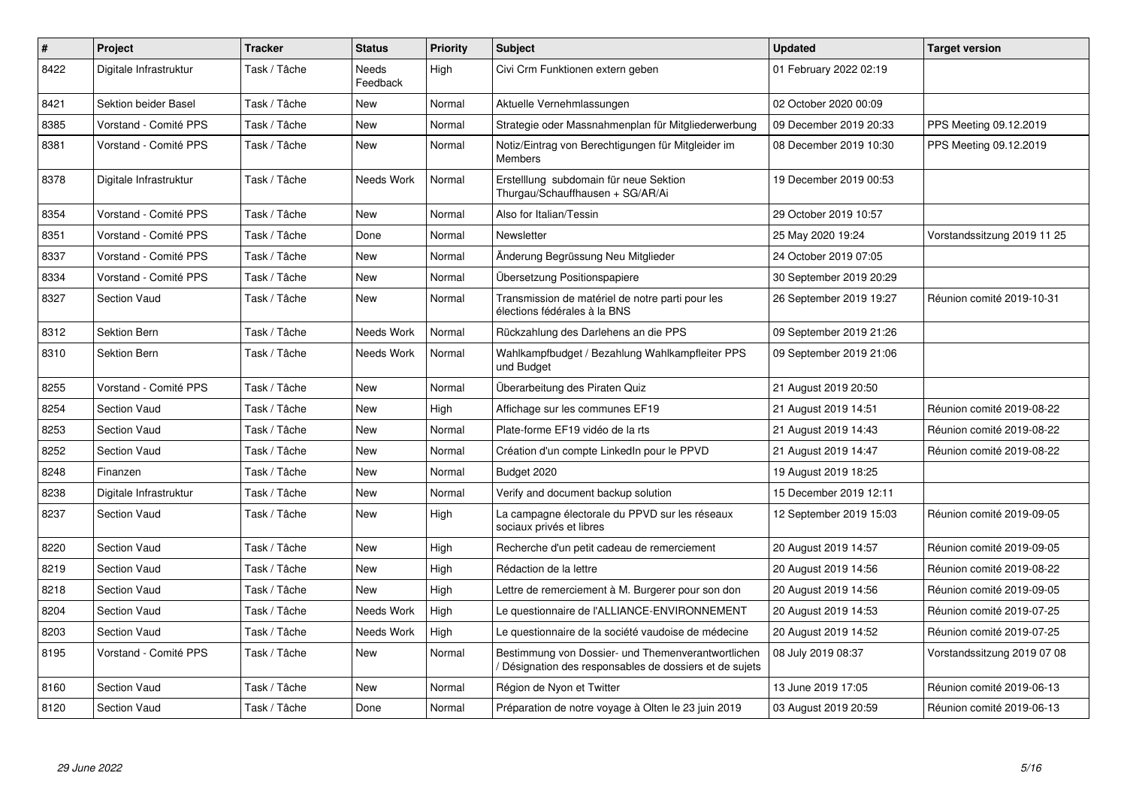| $\pmb{\#}$ | Project                | <b>Tracker</b> | <b>Status</b>     | <b>Priority</b> | <b>Subject</b>                                                                                              | <b>Updated</b>          | <b>Target version</b>       |
|------------|------------------------|----------------|-------------------|-----------------|-------------------------------------------------------------------------------------------------------------|-------------------------|-----------------------------|
| 8422       | Digitale Infrastruktur | Task / Tâche   | Needs<br>Feedback | High            | Civi Crm Funktionen extern geben                                                                            | 01 February 2022 02:19  |                             |
| 8421       | Sektion beider Basel   | Task / Tâche   | New               | Normal          | Aktuelle Vernehmlassungen                                                                                   | 02 October 2020 00:09   |                             |
| 8385       | Vorstand - Comité PPS  | Task / Tâche   | New               | Normal          | Strategie oder Massnahmenplan für Mitgliederwerbung                                                         | 09 December 2019 20:33  | PPS Meeting 09.12.2019      |
| 8381       | Vorstand - Comité PPS  | Task / Tâche   | <b>New</b>        | Normal          | Notiz/Eintrag von Berechtigungen für Mitgleider im<br><b>Members</b>                                        | 08 December 2019 10:30  | PPS Meeting 09.12.2019      |
| 8378       | Digitale Infrastruktur | Task / Tâche   | Needs Work        | Normal          | Erstelllung subdomain für neue Sektion<br>Thurgau/Schauffhausen + SG/AR/Ai                                  | 19 December 2019 00:53  |                             |
| 8354       | Vorstand - Comité PPS  | Task / Tâche   | New               | Normal          | Also for Italian/Tessin                                                                                     | 29 October 2019 10:57   |                             |
| 8351       | Vorstand - Comité PPS  | Task / Tâche   | Done              | Normal          | Newsletter                                                                                                  | 25 May 2020 19:24       | Vorstandssitzung 2019 11 25 |
| 8337       | Vorstand - Comité PPS  | Task / Tâche   | New               | Normal          | Änderung Begrüssung Neu Mitglieder                                                                          | 24 October 2019 07:05   |                             |
| 8334       | Vorstand - Comité PPS  | Task / Tâche   | <b>New</b>        | Normal          | Übersetzung Positionspapiere                                                                                | 30 September 2019 20:29 |                             |
| 8327       | <b>Section Vaud</b>    | Task / Tâche   | <b>New</b>        | Normal          | Transmission de matériel de notre parti pour les<br>élections fédérales à la BNS                            | 26 September 2019 19:27 | Réunion comité 2019-10-31   |
| 8312       | <b>Sektion Bern</b>    | Task / Tâche   | Needs Work        | Normal          | Rückzahlung des Darlehens an die PPS                                                                        | 09 September 2019 21:26 |                             |
| 8310       | Sektion Bern           | Task / Tâche   | Needs Work        | Normal          | Wahlkampfbudget / Bezahlung Wahlkampfleiter PPS<br>und Budget                                               | 09 September 2019 21:06 |                             |
| 8255       | Vorstand - Comité PPS  | Task / Tâche   | New               | Normal          | Überarbeitung des Piraten Quiz                                                                              | 21 August 2019 20:50    |                             |
| 8254       | <b>Section Vaud</b>    | Task / Tâche   | <b>New</b>        | High            | Affichage sur les communes EF19                                                                             | 21 August 2019 14:51    | Réunion comité 2019-08-22   |
| 8253       | <b>Section Vaud</b>    | Task / Tâche   | New               | Normal          | Plate-forme EF19 vidéo de la rts                                                                            | 21 August 2019 14:43    | Réunion comité 2019-08-22   |
| 8252       | <b>Section Vaud</b>    | Task / Tâche   | <b>New</b>        | Normal          | Création d'un compte LinkedIn pour le PPVD                                                                  | 21 August 2019 14:47    | Réunion comité 2019-08-22   |
| 8248       | Finanzen               | Task / Tâche   | New               | Normal          | Budget 2020                                                                                                 | 19 August 2019 18:25    |                             |
| 8238       | Digitale Infrastruktur | Task / Tâche   | New               | Normal          | Verify and document backup solution                                                                         | 15 December 2019 12:11  |                             |
| 8237       | <b>Section Vaud</b>    | Task / Tâche   | New               | High            | La campagne électorale du PPVD sur les réseaux<br>sociaux privés et libres                                  | 12 September 2019 15:03 | Réunion comité 2019-09-05   |
| 8220       | <b>Section Vaud</b>    | Task / Tâche   | New               | High            | Recherche d'un petit cadeau de remerciement                                                                 | 20 August 2019 14:57    | Réunion comité 2019-09-05   |
| 8219       | Section Vaud           | Task / Tâche   | <b>New</b>        | High            | Rédaction de la lettre                                                                                      | 20 August 2019 14:56    | Réunion comité 2019-08-22   |
| 8218       | <b>Section Vaud</b>    | Task / Tâche   | <b>New</b>        | High            | Lettre de remerciement à M. Burgerer pour son don                                                           | 20 August 2019 14:56    | Réunion comité 2019-09-05   |
| 8204       | <b>Section Vaud</b>    | Task / Tâche   | Needs Work        | High            | Le questionnaire de l'ALLIANCE-ENVIRONNEMENT                                                                | 20 August 2019 14:53    | Réunion comité 2019-07-25   |
| 8203       | <b>Section Vaud</b>    | Task / Tâche   | Needs Work        | High            | Le questionnaire de la société vaudoise de médecine                                                         | 20 August 2019 14:52    | Réunion comité 2019-07-25   |
| 8195       | Vorstand - Comité PPS  | Task / Tâche   | New               | Normal          | Bestimmung von Dossier- und Themenverantwortlichen<br>Désignation des responsables de dossiers et de sujets | 08 July 2019 08:37      | Vorstandssitzung 2019 07 08 |
| 8160       | <b>Section Vaud</b>    | Task / Tâche   | New               | Normal          | Région de Nyon et Twitter                                                                                   | 13 June 2019 17:05      | Réunion comité 2019-06-13   |
| 8120       | <b>Section Vaud</b>    | Task / Tâche   | Done              | Normal          | Préparation de notre voyage à Olten le 23 juin 2019                                                         | 03 August 2019 20:59    | Réunion comité 2019-06-13   |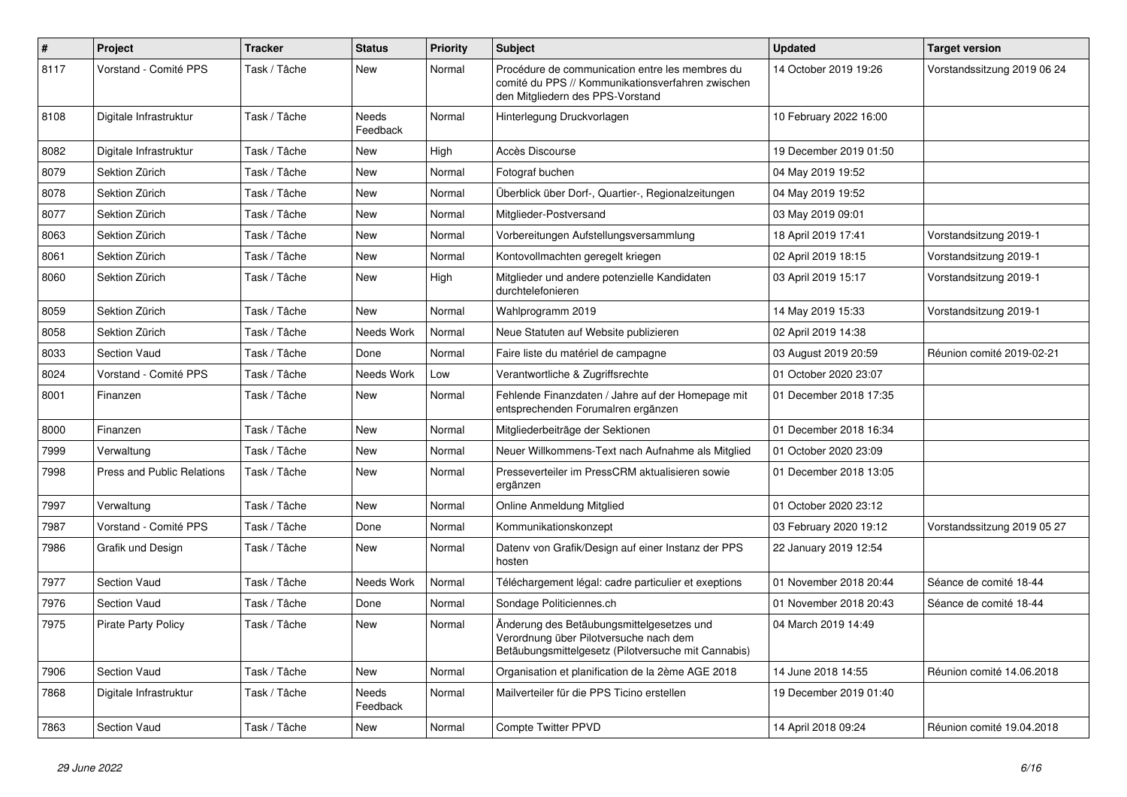| $\pmb{\#}$ | Project                           | <b>Tracker</b> | <b>Status</b>     | <b>Priority</b> | <b>Subject</b>                                                                                                                             | <b>Updated</b>         | <b>Target version</b>       |
|------------|-----------------------------------|----------------|-------------------|-----------------|--------------------------------------------------------------------------------------------------------------------------------------------|------------------------|-----------------------------|
| 8117       | Vorstand - Comité PPS             | Task / Tâche   | New               | Normal          | Procédure de communication entre les membres du<br>comité du PPS // Kommunikationsverfahren zwischen<br>den Mitgliedern des PPS-Vorstand   | 14 October 2019 19:26  | Vorstandssitzung 2019 06 24 |
| 8108       | Digitale Infrastruktur            | Task / Tâche   | Needs<br>Feedback | Normal          | Hinterlegung Druckvorlagen                                                                                                                 | 10 February 2022 16:00 |                             |
| 8082       | Digitale Infrastruktur            | Task / Tâche   | New               | High            | Accès Discourse                                                                                                                            | 19 December 2019 01:50 |                             |
| 8079       | Sektion Zürich                    | Task / Tâche   | <b>New</b>        | Normal          | Fotograf buchen                                                                                                                            | 04 May 2019 19:52      |                             |
| 8078       | Sektion Zürich                    | Task / Tâche   | <b>New</b>        | Normal          | Überblick über Dorf-, Quartier-, Regionalzeitungen                                                                                         | 04 May 2019 19:52      |                             |
| 8077       | Sektion Zürich                    | Task / Tâche   | New               | Normal          | Mitglieder-Postversand                                                                                                                     | 03 May 2019 09:01      |                             |
| 8063       | Sektion Zürich                    | Task / Tâche   | New               | Normal          | Vorbereitungen Aufstellungsversammlung                                                                                                     | 18 April 2019 17:41    | Vorstandsitzung 2019-1      |
| 8061       | Sektion Zürich                    | Task / Tâche   | <b>New</b>        | Normal          | Kontovollmachten geregelt kriegen                                                                                                          | 02 April 2019 18:15    | Vorstandsitzung 2019-1      |
| 8060       | Sektion Zürich                    | Task / Tâche   | <b>New</b>        | High            | Mitglieder und andere potenzielle Kandidaten<br>durchtelefonieren                                                                          | 03 April 2019 15:17    | Vorstandsitzung 2019-1      |
| 8059       | Sektion Zürich                    | Task / Tâche   | <b>New</b>        | Normal          | Wahlprogramm 2019                                                                                                                          | 14 May 2019 15:33      | Vorstandsitzung 2019-1      |
| 8058       | Sektion Zürich                    | Task / Tâche   | Needs Work        | Normal          | Neue Statuten auf Website publizieren                                                                                                      | 02 April 2019 14:38    |                             |
| 8033       | <b>Section Vaud</b>               | Task / Tâche   | Done              | Normal          | Faire liste du matériel de campagne                                                                                                        | 03 August 2019 20:59   | Réunion comité 2019-02-21   |
| 8024       | Vorstand - Comité PPS             | Task / Tâche   | Needs Work        | Low             | Verantwortliche & Zugriffsrechte                                                                                                           | 01 October 2020 23:07  |                             |
| 8001       | Finanzen                          | Task / Tâche   | New               | Normal          | Fehlende Finanzdaten / Jahre auf der Homepage mit<br>entsprechenden Forumalren ergänzen                                                    | 01 December 2018 17:35 |                             |
| 8000       | Finanzen                          | Task / Tâche   | <b>New</b>        | Normal          | Mitgliederbeiträge der Sektionen                                                                                                           | 01 December 2018 16:34 |                             |
| 7999       | Verwaltung                        | Task / Tâche   | New               | Normal          | Neuer Willkommens-Text nach Aufnahme als Mitglied                                                                                          | 01 October 2020 23:09  |                             |
| 7998       | <b>Press and Public Relations</b> | Task / Tâche   | <b>New</b>        | Normal          | Presseverteiler im PressCRM aktualisieren sowie<br>ergänzen                                                                                | 01 December 2018 13:05 |                             |
| 7997       | Verwaltung                        | Task / Tâche   | <b>New</b>        | Normal          | Online Anmeldung Mitglied                                                                                                                  | 01 October 2020 23:12  |                             |
| 7987       | Vorstand - Comité PPS             | Task / Tâche   | Done              | Normal          | Kommunikationskonzept                                                                                                                      | 03 February 2020 19:12 | Vorstandssitzung 2019 05 27 |
| 7986       | Grafik und Design                 | Task / Tâche   | New               | Normal          | Datenv von Grafik/Design auf einer Instanz der PPS<br>hosten                                                                               | 22 January 2019 12:54  |                             |
| 7977       | <b>Section Vaud</b>               | Task / Tâche   | Needs Work        | Normal          | Téléchargement légal: cadre particulier et exeptions                                                                                       | 01 November 2018 20:44 | Séance de comité 18-44      |
| 7976       | <b>Section Vaud</b>               | Task / Tâche   | Done              | Normal          | Sondage Politiciennes.ch                                                                                                                   | 01 November 2018 20:43 | Séance de comité 18-44      |
| 7975       | <b>Pirate Party Policy</b>        | Task / Tâche   | <b>New</b>        | Normal          | Änderung des Betäubungsmittelgesetzes und<br>Verordnung über Pilotversuche nach dem<br>Betäubungsmittelgesetz (Pilotversuche mit Cannabis) | 04 March 2019 14:49    |                             |
| 7906       | <b>Section Vaud</b>               | Task / Tâche   | <b>New</b>        | Normal          | Organisation et planification de la 2ème AGE 2018                                                                                          | 14 June 2018 14:55     | Réunion comité 14.06.2018   |
| 7868       | Digitale Infrastruktur            | Task / Tâche   | Needs<br>Feedback | Normal          | Mailverteiler für die PPS Ticino erstellen                                                                                                 | 19 December 2019 01:40 |                             |
| 7863       | Section Vaud                      | Task / Tâche   | <b>New</b>        | Normal          | <b>Compte Twitter PPVD</b>                                                                                                                 | 14 April 2018 09:24    | Réunion comité 19.04.2018   |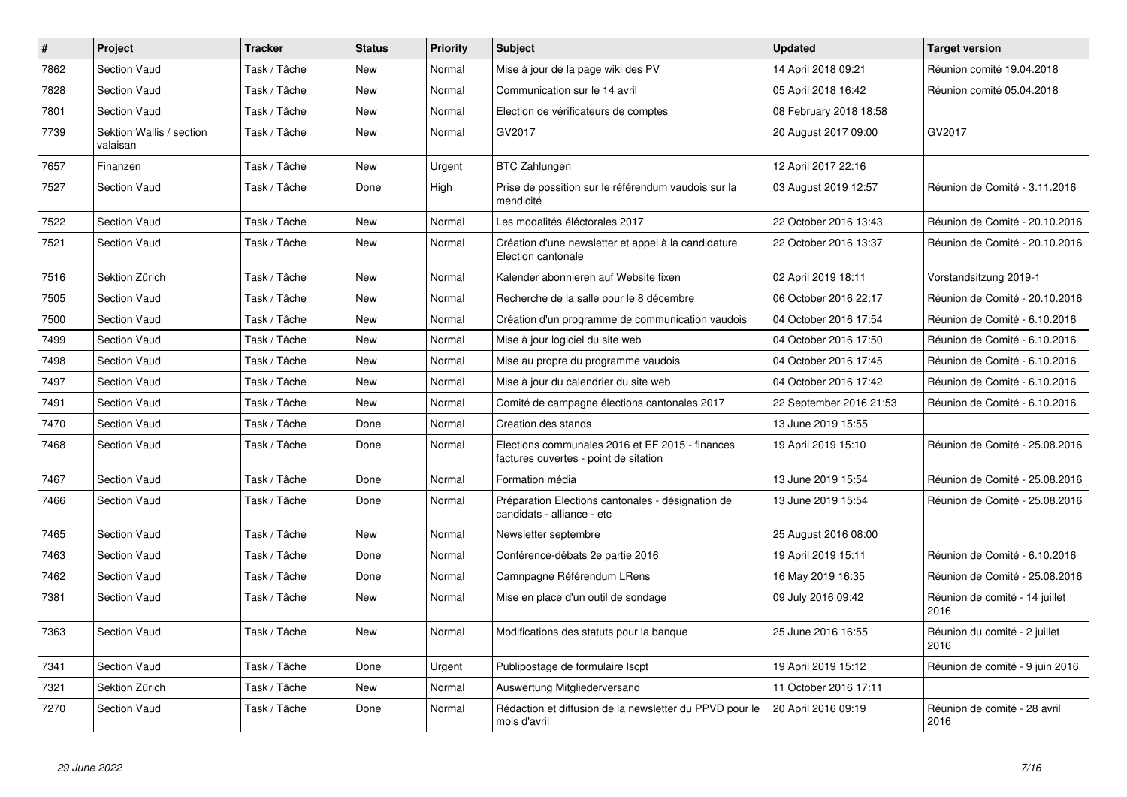| #    | <b>Project</b>                       | <b>Tracker</b> | <b>Status</b> | <b>Priority</b> | <b>Subject</b>                                                                           | <b>Updated</b>          | <b>Target version</b>                  |
|------|--------------------------------------|----------------|---------------|-----------------|------------------------------------------------------------------------------------------|-------------------------|----------------------------------------|
| 7862 | <b>Section Vaud</b>                  | Task / Tâche   | <b>New</b>    | Normal          | Mise à jour de la page wiki des PV                                                       | 14 April 2018 09:21     | Réunion comité 19.04.2018              |
| 7828 | Section Vaud                         | Task / Tâche   | <b>New</b>    | Normal          | Communication sur le 14 avril                                                            | 05 April 2018 16:42     | Réunion comité 05.04.2018              |
| 7801 | <b>Section Vaud</b>                  | Task / Tâche   | <b>New</b>    | Normal          | Election de vérificateurs de comptes                                                     | 08 February 2018 18:58  |                                        |
| 7739 | Sektion Wallis / section<br>valaisan | Task / Tâche   | <b>New</b>    | Normal          | GV2017                                                                                   | 20 August 2017 09:00    | GV2017                                 |
| 7657 | Finanzen                             | Task / Tâche   | New           | Urgent          | <b>BTC Zahlungen</b>                                                                     | 12 April 2017 22:16     |                                        |
| 7527 | Section Vaud                         | Task / Tâche   | Done          | High            | Prise de possition sur le référendum vaudois sur la<br>mendicité                         | 03 August 2019 12:57    | Réunion de Comité - 3.11.2016          |
| 7522 | Section Vaud                         | Task / Tâche   | New           | Normal          | Les modalités éléctorales 2017                                                           | 22 October 2016 13:43   | Réunion de Comité - 20.10.2016         |
| 7521 | Section Vaud                         | Task / Tâche   | New           | Normal          | Création d'une newsletter et appel à la candidature<br>Election cantonale                | 22 October 2016 13:37   | Réunion de Comité - 20.10.2016         |
| 7516 | Sektion Zürich                       | Task / Tâche   | <b>New</b>    | Normal          | Kalender abonnieren auf Website fixen                                                    | 02 April 2019 18:11     | Vorstandsitzung 2019-1                 |
| 7505 | <b>Section Vaud</b>                  | Task / Tâche   | <b>New</b>    | Normal          | Recherche de la salle pour le 8 décembre                                                 | 06 October 2016 22:17   | Réunion de Comité - 20.10.2016         |
| 7500 | <b>Section Vaud</b>                  | Task / Tâche   | New           | Normal          | Création d'un programme de communication vaudois                                         | 04 October 2016 17:54   | Réunion de Comité - 6.10.2016          |
| 7499 | Section Vaud                         | Task / Tâche   | New           | Normal          | Mise à jour logiciel du site web                                                         | 04 October 2016 17:50   | Réunion de Comité - 6.10.2016          |
| 7498 | <b>Section Vaud</b>                  | Task / Tâche   | New           | Normal          | Mise au propre du programme vaudois                                                      | 04 October 2016 17:45   | Réunion de Comité - 6.10.2016          |
| 7497 | Section Vaud                         | Task / Tâche   | <b>New</b>    | Normal          | Mise à jour du calendrier du site web                                                    | 04 October 2016 17:42   | Réunion de Comité - 6.10.2016          |
| 7491 | <b>Section Vaud</b>                  | Task / Tâche   | New           | Normal          | Comité de campagne élections cantonales 2017                                             | 22 September 2016 21:53 | Réunion de Comité - 6.10.2016          |
| 7470 | Section Vaud                         | Task / Tâche   | Done          | Normal          | Creation des stands                                                                      | 13 June 2019 15:55      |                                        |
| 7468 | <b>Section Vaud</b>                  | Task / Tâche   | Done          | Normal          | Elections communales 2016 et EF 2015 - finances<br>factures ouvertes - point de sitation | 19 April 2019 15:10     | Réunion de Comité - 25.08.2016         |
| 7467 | <b>Section Vaud</b>                  | Task / Tâche   | Done          | Normal          | Formation média                                                                          | 13 June 2019 15:54      | Réunion de Comité - 25.08.2016         |
| 7466 | <b>Section Vaud</b>                  | Task / Tâche   | Done          | Normal          | Préparation Elections cantonales - désignation de<br>candidats - alliance - etc          | 13 June 2019 15:54      | Réunion de Comité - 25.08.2016         |
| 7465 | <b>Section Vaud</b>                  | Task / Tâche   | <b>New</b>    | Normal          | Newsletter septembre                                                                     | 25 August 2016 08:00    |                                        |
| 7463 | <b>Section Vaud</b>                  | Task / Tâche   | Done          | Normal          | Conférence-débats 2e partie 2016                                                         | 19 April 2019 15:11     | Réunion de Comité - 6.10.2016          |
| 7462 | Section Vaud                         | Task / Tâche   | Done          | Normal          | Camnpagne Référendum LRens                                                               | 16 May 2019 16:35       | Réunion de Comité - 25.08.2016         |
| 7381 | Section Vaud                         | Task / Tâche   | New           | Normal          | Mise en place d'un outil de sondage                                                      | 09 July 2016 09:42      | Réunion de comité - 14 juillet<br>2016 |
| 7363 | Section Vaud                         | Task / Tâche   | New           | Normal          | Modifications des statuts pour la banque                                                 | 25 June 2016 16:55      | Réunion du comité - 2 juillet<br>2016  |
| 7341 | Section Vaud                         | Task / Tâche   | Done          | Urgent          | Publipostage de formulaire Iscpt                                                         | 19 April 2019 15:12     | Réunion de comité - 9 juin 2016        |
| 7321 | Sektion Zürich                       | Task / Tâche   | New           | Normal          | Auswertung Mitgliederversand                                                             | 11 October 2016 17:11   |                                        |
| 7270 | Section Vaud                         | Task / Tâche   | Done          | Normal          | Rédaction et diffusion de la newsletter du PPVD pour le<br>mois d'avril                  | 20 April 2016 09:19     | Réunion de comité - 28 avril<br>2016   |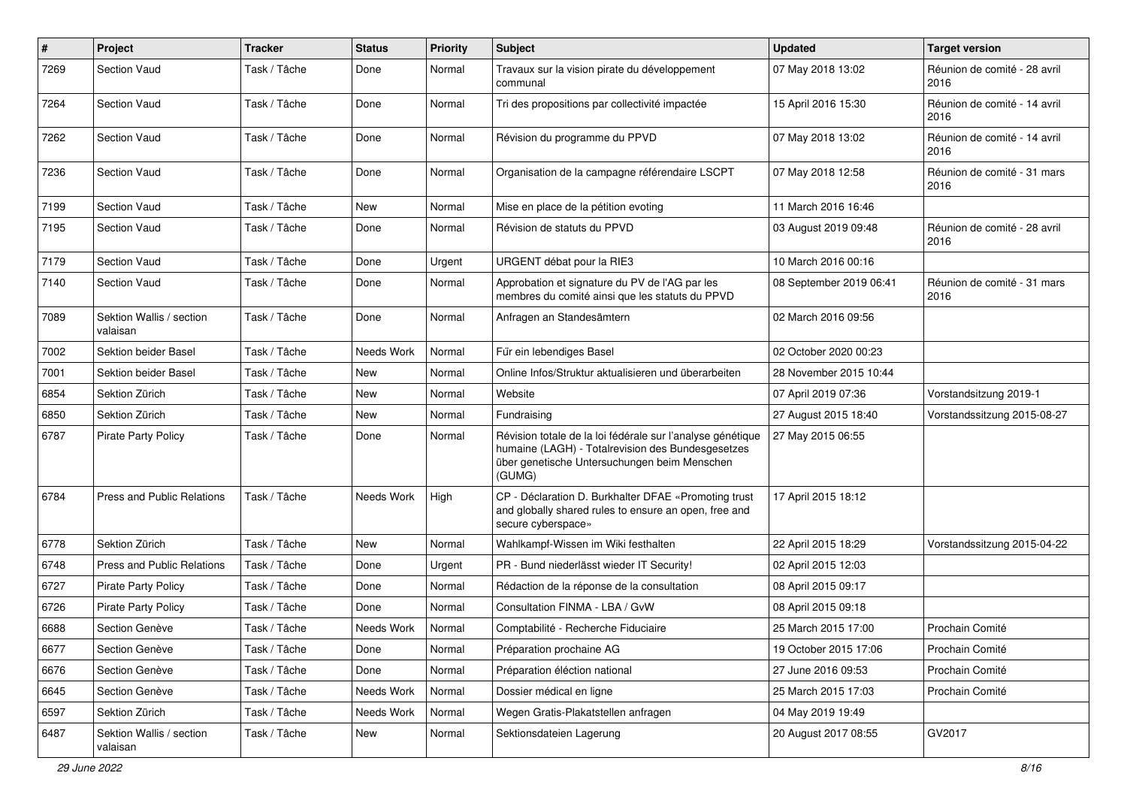| $\pmb{\#}$ | Project                              | <b>Tracker</b> | <b>Status</b> | <b>Priority</b> | <b>Subject</b>                                                                                                                                                            | <b>Updated</b>          | <b>Target version</b>                |
|------------|--------------------------------------|----------------|---------------|-----------------|---------------------------------------------------------------------------------------------------------------------------------------------------------------------------|-------------------------|--------------------------------------|
| 7269       | <b>Section Vaud</b>                  | Task / Tâche   | Done          | Normal          | Travaux sur la vision pirate du développement<br>communal                                                                                                                 | 07 May 2018 13:02       | Réunion de comité - 28 avril<br>2016 |
| 7264       | <b>Section Vaud</b>                  | Task / Tâche   | Done          | Normal          | Tri des propositions par collectivité impactée                                                                                                                            | 15 April 2016 15:30     | Réunion de comité - 14 avril<br>2016 |
| 7262       | <b>Section Vaud</b>                  | Task / Tâche   | Done          | Normal          | Révision du programme du PPVD                                                                                                                                             | 07 May 2018 13:02       | Réunion de comité - 14 avril<br>2016 |
| 7236       | <b>Section Vaud</b>                  | Task / Tâche   | Done          | Normal          | Organisation de la campagne référendaire LSCPT                                                                                                                            | 07 May 2018 12:58       | Réunion de comité - 31 mars<br>2016  |
| 7199       | <b>Section Vaud</b>                  | Task / Tâche   | New           | Normal          | Mise en place de la pétition evoting                                                                                                                                      | 11 March 2016 16:46     |                                      |
| 7195       | <b>Section Vaud</b>                  | Task / Tâche   | Done          | Normal          | Révision de statuts du PPVD                                                                                                                                               | 03 August 2019 09:48    | Réunion de comité - 28 avril<br>2016 |
| 7179       | <b>Section Vaud</b>                  | Task / Tâche   | Done          | Urgent          | URGENT débat pour la RIE3                                                                                                                                                 | 10 March 2016 00:16     |                                      |
| 7140       | <b>Section Vaud</b>                  | Task / Tâche   | Done          | Normal          | Approbation et signature du PV de l'AG par les<br>membres du comité ainsi que les statuts du PPVD                                                                         | 08 September 2019 06:41 | Réunion de comité - 31 mars<br>2016  |
| 7089       | Sektion Wallis / section<br>valaisan | Task / Tâche   | Done          | Normal          | Anfragen an Standesämtern                                                                                                                                                 | 02 March 2016 09:56     |                                      |
| 7002       | Sektion beider Basel                 | Task / Tâche   | Needs Work    | Normal          | Für ein lebendiges Basel                                                                                                                                                  | 02 October 2020 00:23   |                                      |
| 7001       | <b>Sektion beider Basel</b>          | Task / Tâche   | <b>New</b>    | Normal          | Online Infos/Struktur aktualisieren und überarbeiten                                                                                                                      | 28 November 2015 10:44  |                                      |
| 6854       | Sektion Zürich                       | Task / Tâche   | New           | Normal          | Website                                                                                                                                                                   | 07 April 2019 07:36     | Vorstandsitzung 2019-1               |
| 6850       | Sektion Zürich                       | Task / Tâche   | New           | Normal          | Fundraising                                                                                                                                                               | 27 August 2015 18:40    | Vorstandssitzung 2015-08-27          |
| 6787       | Pirate Party Policy                  | Task / Tâche   | Done          | Normal          | Révision totale de la loi fédérale sur l'analyse génétique<br>humaine (LAGH) - Totalrevision des Bundesgesetzes<br>über genetische Untersuchungen beim Menschen<br>(GUMG) | 27 May 2015 06:55       |                                      |
| 6784       | <b>Press and Public Relations</b>    | Task / Tâche   | Needs Work    | High            | CP - Déclaration D. Burkhalter DFAE «Promoting trust<br>and globally shared rules to ensure an open, free and<br>secure cyberspace»                                       | 17 April 2015 18:12     |                                      |
| 6778       | Sektion Zürich                       | Task / Tâche   | New           | Normal          | Wahlkampf-Wissen im Wiki festhalten                                                                                                                                       | 22 April 2015 18:29     | Vorstandssitzung 2015-04-22          |
| 6748       | <b>Press and Public Relations</b>    | Task / Tâche   | Done          | Urgent          | PR - Bund niederlässt wieder IT Security!                                                                                                                                 | 02 April 2015 12:03     |                                      |
| 6727       | <b>Pirate Party Policy</b>           | Task / Tâche   | Done          | Normal          | Rédaction de la réponse de la consultation                                                                                                                                | 08 April 2015 09:17     |                                      |
| 6726       | <b>Pirate Party Policy</b>           | Task / Tâche   | Done          | Normal          | Consultation FINMA - LBA / GvW                                                                                                                                            | 08 April 2015 09:18     |                                      |
| 6688       | Section Genève                       | Task / Tâche   | Needs Work    | Normal          | Comptabilité - Recherche Fiduciaire                                                                                                                                       | 25 March 2015 17:00     | Prochain Comité                      |
| 6677       | Section Genève                       | Task / Tâche   | Done          | Normal          | Préparation prochaine AG                                                                                                                                                  | 19 October 2015 17:06   | Prochain Comité                      |
| 6676       | Section Genève                       | Task / Tâche   | Done          | Normal          | Préparation éléction national                                                                                                                                             | 27 June 2016 09:53      | Prochain Comité                      |
| 6645       | Section Genève                       | Task / Tâche   | Needs Work    | Normal          | Dossier médical en ligne                                                                                                                                                  | 25 March 2015 17:03     | Prochain Comité                      |
| 6597       | Sektion Zürich                       | Task / Tâche   | Needs Work    | Normal          | Wegen Gratis-Plakatstellen anfragen                                                                                                                                       | 04 May 2019 19:49       |                                      |
| 6487       | Sektion Wallis / section<br>valaisan | Task / Tâche   | New           | Normal          | Sektionsdateien Lagerung                                                                                                                                                  | 20 August 2017 08:55    | GV2017                               |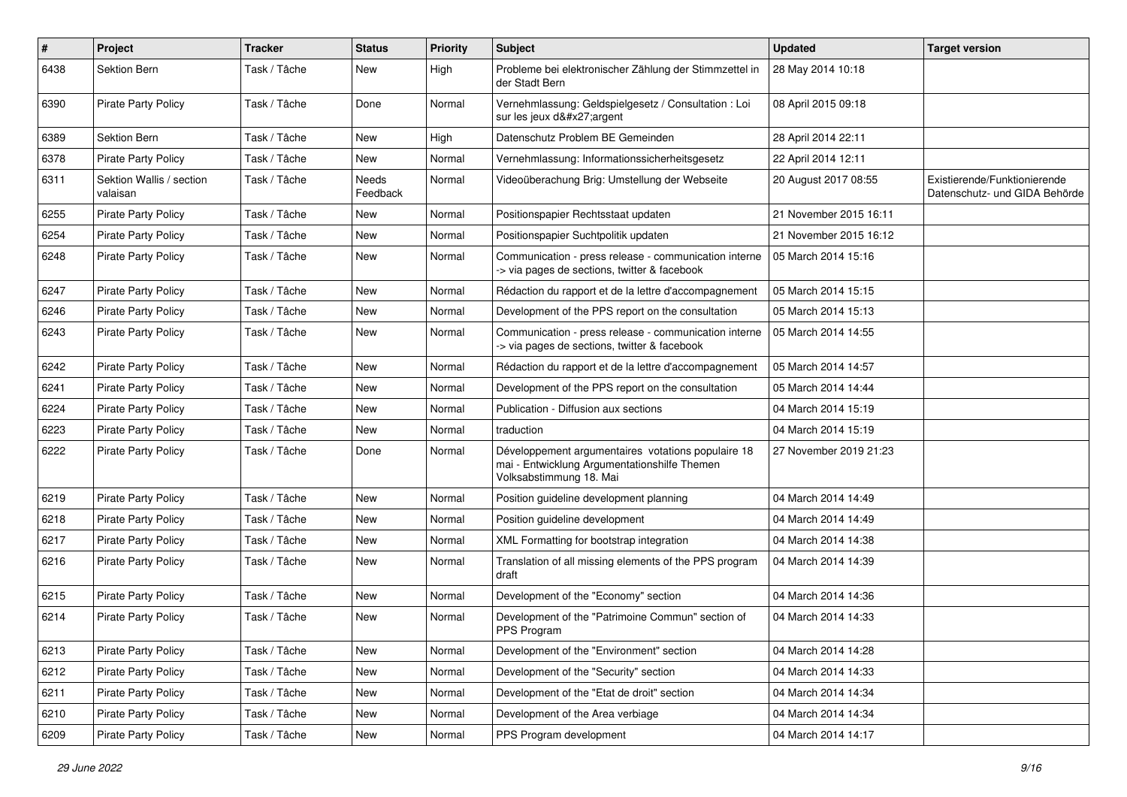| $\pmb{\#}$ | Project                              | <b>Tracker</b> | <b>Status</b>            | <b>Priority</b> | <b>Subject</b>                                                                                                                | <b>Updated</b>         | <b>Target version</b>                                         |
|------------|--------------------------------------|----------------|--------------------------|-----------------|-------------------------------------------------------------------------------------------------------------------------------|------------------------|---------------------------------------------------------------|
| 6438       | Sektion Bern                         | Task / Tâche   | New                      | High            | Probleme bei elektronischer Zählung der Stimmzettel in<br>der Stadt Bern                                                      | 28 May 2014 10:18      |                                                               |
| 6390       | Pirate Party Policy                  | Task / Tâche   | Done                     | Normal          | Vernehmlassung: Geldspielgesetz / Consultation : Loi<br>sur les jeux d'argent                                                 | 08 April 2015 09:18    |                                                               |
| 6389       | <b>Sektion Bern</b>                  | Task / Tâche   | <b>New</b>               | High            | Datenschutz Problem BE Gemeinden                                                                                              | 28 April 2014 22:11    |                                                               |
| 6378       | <b>Pirate Party Policy</b>           | Task / Tâche   | New                      | Normal          | Vernehmlassung: Informationssicherheitsgesetz                                                                                 | 22 April 2014 12:11    |                                                               |
| 6311       | Sektion Wallis / section<br>valaisan | Task / Tâche   | <b>Needs</b><br>Feedback | Normal          | Videoüberachung Brig: Umstellung der Webseite                                                                                 | 20 August 2017 08:55   | Existierende/Funktionierende<br>Datenschutz- und GIDA Behörde |
| 6255       | Pirate Party Policy                  | Task / Tâche   | New                      | Normal          | Positionspapier Rechtsstaat updaten                                                                                           | 21 November 2015 16:11 |                                                               |
| 6254       | <b>Pirate Party Policy</b>           | Task / Tâche   | <b>New</b>               | Normal          | Positionspapier Suchtpolitik updaten                                                                                          | 21 November 2015 16:12 |                                                               |
| 6248       | <b>Pirate Party Policy</b>           | Task / Tâche   | New                      | Normal          | Communication - press release - communication interne<br>-> via pages de sections, twitter & facebook                         | 05 March 2014 15:16    |                                                               |
| 6247       | Pirate Party Policy                  | Task / Tâche   | <b>New</b>               | Normal          | Rédaction du rapport et de la lettre d'accompagnement                                                                         | 05 March 2014 15:15    |                                                               |
| 6246       | <b>Pirate Party Policy</b>           | Task / Tâche   | New                      | Normal          | Development of the PPS report on the consultation                                                                             | 05 March 2014 15:13    |                                                               |
| 6243       | Pirate Party Policy                  | Task / Tâche   | New                      | Normal          | Communication - press release - communication interne<br>-> via pages de sections, twitter & facebook                         | 05 March 2014 14:55    |                                                               |
| 6242       | <b>Pirate Party Policy</b>           | Task / Tâche   | <b>New</b>               | Normal          | Rédaction du rapport et de la lettre d'accompagnement                                                                         | 05 March 2014 14:57    |                                                               |
| 6241       | <b>Pirate Party Policy</b>           | Task / Tâche   | <b>New</b>               | Normal          | Development of the PPS report on the consultation                                                                             | 05 March 2014 14:44    |                                                               |
| 6224       | <b>Pirate Party Policy</b>           | Task / Tâche   | New                      | Normal          | Publication - Diffusion aux sections                                                                                          | 04 March 2014 15:19    |                                                               |
| 6223       | <b>Pirate Party Policy</b>           | Task / Tâche   | New                      | Normal          | traduction                                                                                                                    | 04 March 2014 15:19    |                                                               |
| 6222       | <b>Pirate Party Policy</b>           | Task / Tâche   | Done                     | Normal          | Développement argumentaires votations populaire 18<br>mai - Entwicklung Argumentationshilfe Themen<br>Volksabstimmung 18. Mai | 27 November 2019 21:23 |                                                               |
| 6219       | <b>Pirate Party Policy</b>           | Task / Tâche   | New                      | Normal          | Position guideline development planning                                                                                       | 04 March 2014 14:49    |                                                               |
| 6218       | Pirate Party Policy                  | Task / Tâche   | New                      | Normal          | Position guideline development                                                                                                | 04 March 2014 14:49    |                                                               |
| 6217       | <b>Pirate Party Policy</b>           | Task / Tâche   | <b>New</b>               | Normal          | XML Formatting for bootstrap integration                                                                                      | 04 March 2014 14:38    |                                                               |
| 6216       | <b>Pirate Party Policy</b>           | Task / Tâche   | New                      | Normal          | Translation of all missing elements of the PPS program<br>draft                                                               | 04 March 2014 14:39    |                                                               |
| 6215       | Pirate Party Policy                  | Task / Tâche   | <b>New</b>               | Normal          | Development of the "Economy" section                                                                                          | 04 March 2014 14:36    |                                                               |
| 6214       | Pirate Party Policy                  | Task / Tâche   | New                      | Normal          | Development of the "Patrimoine Commun" section of<br>PPS Program                                                              | 04 March 2014 14:33    |                                                               |
| 6213       | Pirate Party Policy                  | Task / Tâche   | New                      | Normal          | Development of the "Environment" section                                                                                      | 04 March 2014 14:28    |                                                               |
| 6212       | Pirate Party Policy                  | Task / Tâche   | New                      | Normal          | Development of the "Security" section                                                                                         | 04 March 2014 14:33    |                                                               |
| 6211       | Pirate Party Policy                  | Task / Tâche   | New                      | Normal          | Development of the "Etat de droit" section                                                                                    | 04 March 2014 14:34    |                                                               |
| 6210       | Pirate Party Policy                  | Task / Tâche   | New                      | Normal          | Development of the Area verbiage                                                                                              | 04 March 2014 14:34    |                                                               |
| 6209       | Pirate Party Policy                  | Task / Tâche   | New                      | Normal          | PPS Program development                                                                                                       | 04 March 2014 14:17    |                                                               |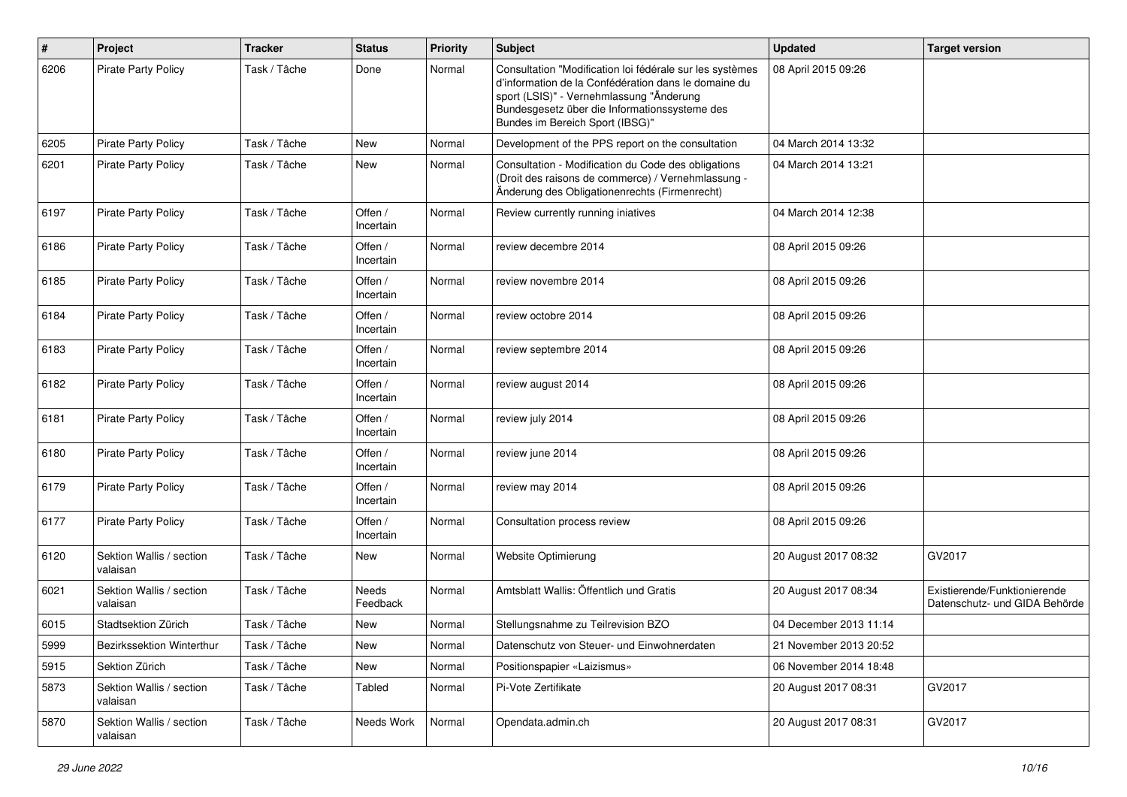| $\pmb{\#}$ | Project                              | <b>Tracker</b> | <b>Status</b>        | <b>Priority</b> | Subject                                                                                                                                                                                                                                          | <b>Updated</b>         | <b>Target version</b>                                         |
|------------|--------------------------------------|----------------|----------------------|-----------------|--------------------------------------------------------------------------------------------------------------------------------------------------------------------------------------------------------------------------------------------------|------------------------|---------------------------------------------------------------|
| 6206       | <b>Pirate Party Policy</b>           | Task / Tâche   | Done                 | Normal          | Consultation "Modification loi fédérale sur les systèmes<br>d'information de la Confédération dans le domaine du<br>sport (LSIS)" - Vernehmlassung "Änderung<br>Bundesgesetz über die Informationssysteme des<br>Bundes im Bereich Sport (IBSG)" | 08 April 2015 09:26    |                                                               |
| 6205       | <b>Pirate Party Policy</b>           | Task / Tâche   | New                  | Normal          | Development of the PPS report on the consultation                                                                                                                                                                                                | 04 March 2014 13:32    |                                                               |
| 6201       | <b>Pirate Party Policy</b>           | Task / Tâche   | New                  | Normal          | Consultation - Modification du Code des obligations<br>(Droit des raisons de commerce) / Vernehmlassung -<br>Änderung des Obligationenrechts (Firmenrecht)                                                                                       | 04 March 2014 13:21    |                                                               |
| 6197       | <b>Pirate Party Policy</b>           | Task / Tâche   | Offen /<br>Incertain | Normal          | Review currently running iniatives                                                                                                                                                                                                               | 04 March 2014 12:38    |                                                               |
| 6186       | <b>Pirate Party Policy</b>           | Task / Tâche   | Offen /<br>Incertain | Normal          | review decembre 2014                                                                                                                                                                                                                             | 08 April 2015 09:26    |                                                               |
| 6185       | <b>Pirate Party Policy</b>           | Task / Tâche   | Offen /<br>Incertain | Normal          | review novembre 2014                                                                                                                                                                                                                             | 08 April 2015 09:26    |                                                               |
| 6184       | <b>Pirate Party Policy</b>           | Task / Tâche   | Offen /<br>Incertain | Normal          | review octobre 2014                                                                                                                                                                                                                              | 08 April 2015 09:26    |                                                               |
| 6183       | <b>Pirate Party Policy</b>           | Task / Tâche   | Offen /<br>Incertain | Normal          | review septembre 2014                                                                                                                                                                                                                            | 08 April 2015 09:26    |                                                               |
| 6182       | <b>Pirate Party Policy</b>           | Task / Tâche   | Offen /<br>Incertain | Normal          | review august 2014                                                                                                                                                                                                                               | 08 April 2015 09:26    |                                                               |
| 6181       | <b>Pirate Party Policy</b>           | Task / Tâche   | Offen /<br>Incertain | Normal          | review july 2014                                                                                                                                                                                                                                 | 08 April 2015 09:26    |                                                               |
| 6180       | Pirate Party Policy                  | Task / Tâche   | Offen /<br>Incertain | Normal          | review june 2014                                                                                                                                                                                                                                 | 08 April 2015 09:26    |                                                               |
| 6179       | <b>Pirate Party Policy</b>           | Task / Tâche   | Offen /<br>Incertain | Normal          | review may 2014                                                                                                                                                                                                                                  | 08 April 2015 09:26    |                                                               |
| 6177       | <b>Pirate Party Policy</b>           | Task / Tâche   | Offen /<br>Incertain | Normal          | Consultation process review                                                                                                                                                                                                                      | 08 April 2015 09:26    |                                                               |
| 6120       | Sektion Wallis / section<br>valaisan | Task / Tâche   | New                  | Normal          | <b>Website Optimierung</b>                                                                                                                                                                                                                       | 20 August 2017 08:32   | GV2017                                                        |
| 6021       | Sektion Wallis / section<br>valaisan | Task / Tâche   | Needs<br>Feedback    | Normal          | Amtsblatt Wallis: Öffentlich und Gratis                                                                                                                                                                                                          | 20 August 2017 08:34   | Existierende/Funktionierende<br>Datenschutz- und GIDA Behörde |
| 6015       | Stadtsektion Zürich                  | Task / Tâche   | New                  | Normal          | Stellungsnahme zu Teilrevision BZO                                                                                                                                                                                                               | 04 December 2013 11:14 |                                                               |
| 5999       | Bezirkssektion Winterthur            | Task / Tâche   | New                  | Normal          | Datenschutz von Steuer- und Einwohnerdaten                                                                                                                                                                                                       | 21 November 2013 20:52 |                                                               |
| 5915       | Sektion Zürich                       | Task / Tâche   | New                  | Normal          | Positionspapier «Laizismus»                                                                                                                                                                                                                      | 06 November 2014 18:48 |                                                               |
| 5873       | Sektion Wallis / section<br>valaisan | Task / Tâche   | Tabled               | Normal          | Pi-Vote Zertifikate                                                                                                                                                                                                                              | 20 August 2017 08:31   | GV2017                                                        |
| 5870       | Sektion Wallis / section<br>valaisan | Task / Tâche   | Needs Work           | Normal          | Opendata.admin.ch                                                                                                                                                                                                                                | 20 August 2017 08:31   | GV2017                                                        |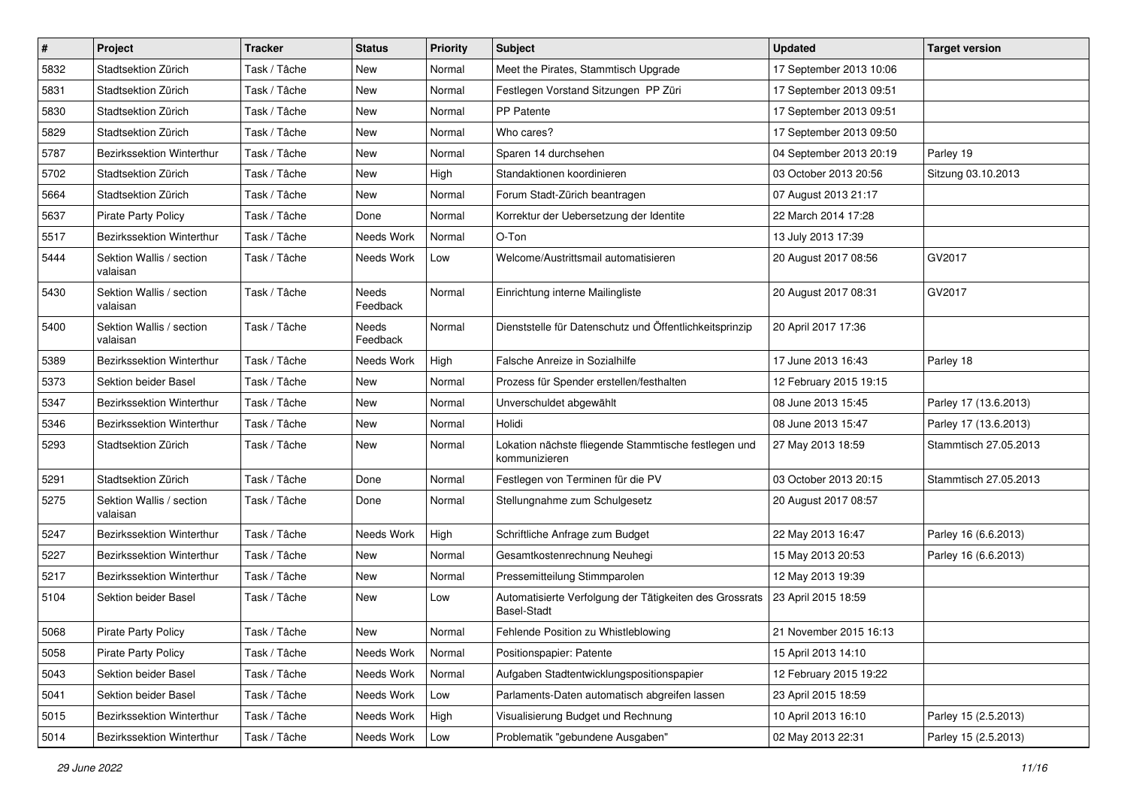| $\#$ | Project                              | <b>Tracker</b> | <b>Status</b>     | <b>Priority</b> | <b>Subject</b>                                                                | <b>Updated</b>          | <b>Target version</b> |
|------|--------------------------------------|----------------|-------------------|-----------------|-------------------------------------------------------------------------------|-------------------------|-----------------------|
| 5832 | Stadtsektion Zürich                  | Task / Tâche   | New               | Normal          | Meet the Pirates, Stammtisch Upgrade                                          | 17 September 2013 10:06 |                       |
| 5831 | Stadtsektion Zürich                  | Task / Tâche   | <b>New</b>        | Normal          | Festlegen Vorstand Sitzungen PP Züri                                          | 17 September 2013 09:51 |                       |
| 5830 | Stadtsektion Zürich                  | Task / Tâche   | New               | Normal          | PP Patente                                                                    | 17 September 2013 09:51 |                       |
| 5829 | Stadtsektion Zürich                  | Task / Tâche   | New               | Normal          | Who cares?                                                                    | 17 September 2013 09:50 |                       |
| 5787 | <b>Bezirkssektion Winterthur</b>     | Task / Tâche   | <b>New</b>        | Normal          | Sparen 14 durchsehen                                                          | 04 September 2013 20:19 | Parley 19             |
| 5702 | Stadtsektion Zürich                  | Task / Tâche   | New               | High            | Standaktionen koordinieren                                                    | 03 October 2013 20:56   | Sitzung 03.10.2013    |
| 5664 | Stadtsektion Zürich                  | Task / Tâche   | New               | Normal          | Forum Stadt-Zürich beantragen                                                 | 07 August 2013 21:17    |                       |
| 5637 | <b>Pirate Party Policy</b>           | Task / Tâche   | Done              | Normal          | Korrektur der Uebersetzung der Identite                                       | 22 March 2014 17:28     |                       |
| 5517 | Bezirkssektion Winterthur            | Task / Tâche   | Needs Work        | Normal          | O-Ton                                                                         | 13 July 2013 17:39      |                       |
| 5444 | Sektion Wallis / section<br>valaisan | Task / Tâche   | Needs Work        | Low             | Welcome/Austrittsmail automatisieren                                          | 20 August 2017 08:56    | GV2017                |
| 5430 | Sektion Wallis / section<br>valaisan | Task / Tâche   | Needs<br>Feedback | Normal          | Einrichtung interne Mailingliste                                              | 20 August 2017 08:31    | GV2017                |
| 5400 | Sektion Wallis / section<br>valaisan | Task / Tâche   | Needs<br>Feedback | Normal          | Dienststelle für Datenschutz und Öffentlichkeitsprinzip                       | 20 April 2017 17:36     |                       |
| 5389 | Bezirkssektion Winterthur            | Task / Tâche   | Needs Work        | High            | Falsche Anreize in Sozialhilfe                                                | 17 June 2013 16:43      | Parley 18             |
| 5373 | Sektion beider Basel                 | Task / Tâche   | New               | Normal          | Prozess für Spender erstellen/festhalten                                      | 12 February 2015 19:15  |                       |
| 5347 | Bezirkssektion Winterthur            | Task / Tâche   | New               | Normal          | Unverschuldet abgewählt                                                       | 08 June 2013 15:45      | Parley 17 (13.6.2013) |
| 5346 | Bezirkssektion Winterthur            | Task / Tâche   | New               | Normal          | Holidi                                                                        | 08 June 2013 15:47      | Parley 17 (13.6.2013) |
| 5293 | Stadtsektion Zürich                  | Task / Tâche   | New               | Normal          | Lokation nächste fliegende Stammtische festlegen und<br>kommunizieren         | 27 May 2013 18:59       | Stammtisch 27.05.2013 |
| 5291 | Stadtsektion Zürich                  | Task / Tâche   | Done              | Normal          | Festlegen von Terminen für die PV                                             | 03 October 2013 20:15   | Stammtisch 27.05.2013 |
| 5275 | Sektion Wallis / section<br>valaisan | Task / Tâche   | Done              | Normal          | Stellungnahme zum Schulgesetz                                                 | 20 August 2017 08:57    |                       |
| 5247 | Bezirkssektion Winterthur            | Task / Tâche   | Needs Work        | High            | Schriftliche Anfrage zum Budget                                               | 22 May 2013 16:47       | Parley 16 (6.6.2013)  |
| 5227 | Bezirkssektion Winterthur            | Task / Tâche   | New               | Normal          | Gesamtkostenrechnung Neuhegi                                                  | 15 May 2013 20:53       | Parley 16 (6.6.2013)  |
| 5217 | Bezirkssektion Winterthur            | Task / Tâche   | New               | Normal          | Pressemitteilung Stimmparolen                                                 | 12 May 2013 19:39       |                       |
| 5104 | Sektion beider Basel                 | Task / Tâche   | New               | Low             | Automatisierte Verfolgung der Tätigkeiten des Grossrats<br><b>Basel-Stadt</b> | 23 April 2015 18:59     |                       |
| 5068 | <b>Pirate Party Policy</b>           | Task / Tâche   | New               | Normal          | Fehlende Position zu Whistleblowing                                           | 21 November 2015 16:13  |                       |
| 5058 | Pirate Party Policy                  | Task / Tâche   | Needs Work        | Normal          | Positionspapier: Patente                                                      | 15 April 2013 14:10     |                       |
| 5043 | Sektion beider Basel                 | Task / Tâche   | Needs Work        | Normal          | Aufgaben Stadtentwicklungspositionspapier                                     | 12 February 2015 19:22  |                       |
| 5041 | Sektion beider Basel                 | Task / Tâche   | Needs Work        | Low             | Parlaments-Daten automatisch abgreifen lassen                                 | 23 April 2015 18:59     |                       |
| 5015 | Bezirkssektion Winterthur            | Task / Tâche   | Needs Work        | High            | Visualisierung Budget und Rechnung                                            | 10 April 2013 16:10     | Parley 15 (2.5.2013)  |
| 5014 | Bezirkssektion Winterthur            | Task / Tâche   | Needs Work        | Low             | Problematik "gebundene Ausgaben"                                              | 02 May 2013 22:31       | Parley 15 (2.5.2013)  |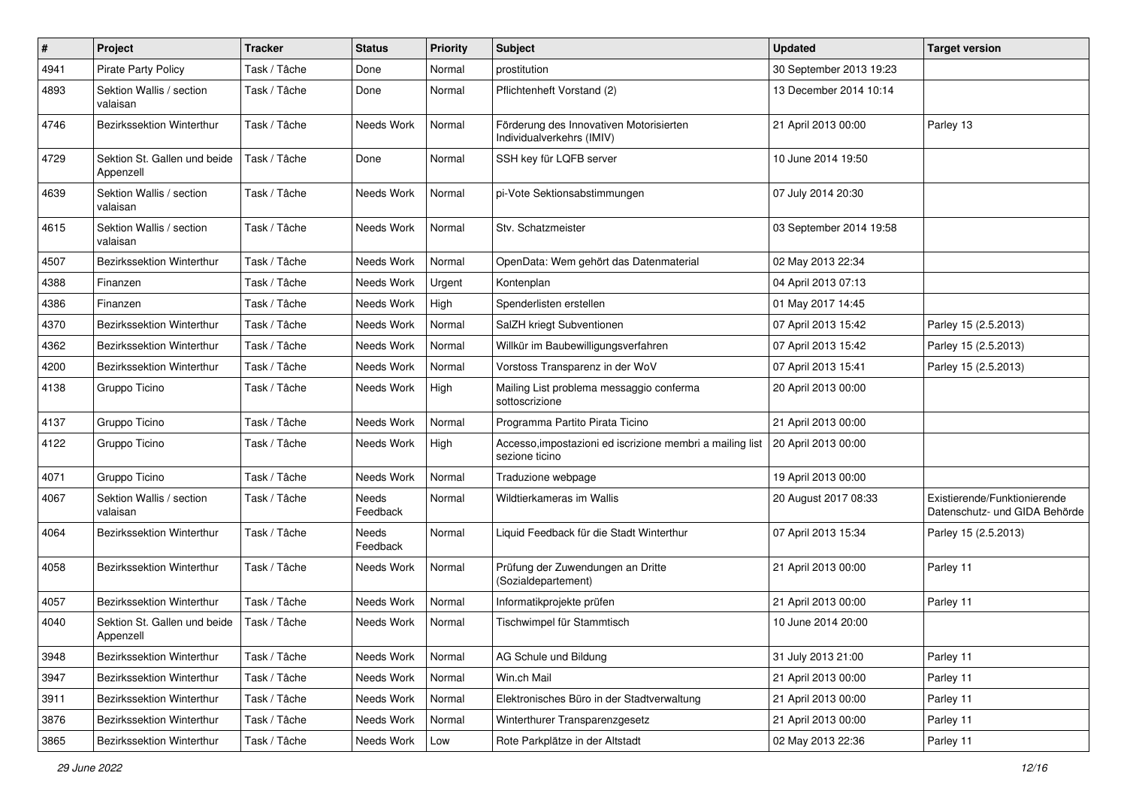| $\#$ | Project                                   | <b>Tracker</b> | <b>Status</b>            | <b>Priority</b> | <b>Subject</b>                                                              | <b>Updated</b>          | <b>Target version</b>                                         |
|------|-------------------------------------------|----------------|--------------------------|-----------------|-----------------------------------------------------------------------------|-------------------------|---------------------------------------------------------------|
| 4941 | Pirate Party Policy                       | Task / Tâche   | Done                     | Normal          | prostitution                                                                | 30 September 2013 19:23 |                                                               |
| 4893 | Sektion Wallis / section<br>valaisan      | Task / Tâche   | Done                     | Normal          | Pflichtenheft Vorstand (2)                                                  | 13 December 2014 10:14  |                                                               |
| 4746 | Bezirkssektion Winterthur                 | Task / Tâche   | Needs Work               | Normal          | Förderung des Innovativen Motorisierten<br>Individualverkehrs (IMIV)        | 21 April 2013 00:00     | Parley 13                                                     |
| 4729 | Sektion St. Gallen und beide<br>Appenzell | Task / Tâche   | Done                     | Normal          | SSH key für LQFB server                                                     | 10 June 2014 19:50      |                                                               |
| 4639 | Sektion Wallis / section<br>valaisan      | Task / Tâche   | Needs Work               | Normal          | pi-Vote Sektionsabstimmungen                                                | 07 July 2014 20:30      |                                                               |
| 4615 | Sektion Wallis / section<br>valaisan      | Task / Tâche   | Needs Work               | Normal          | Stv. Schatzmeister                                                          | 03 September 2014 19:58 |                                                               |
| 4507 | Bezirkssektion Winterthur                 | Task / Tâche   | Needs Work               | Normal          | OpenData: Wem gehört das Datenmaterial                                      | 02 May 2013 22:34       |                                                               |
| 4388 | Finanzen                                  | Task / Tâche   | Needs Work               | Urgent          | Kontenplan                                                                  | 04 April 2013 07:13     |                                                               |
| 4386 | Finanzen                                  | Task / Tâche   | Needs Work               | High            | Spenderlisten erstellen                                                     | 01 May 2017 14:45       |                                                               |
| 4370 | Bezirkssektion Winterthur                 | Task / Tâche   | Needs Work               | Normal          | SalZH kriegt Subventionen                                                   | 07 April 2013 15:42     | Parley 15 (2.5.2013)                                          |
| 4362 | <b>Bezirkssektion Winterthur</b>          | Task / Tâche   | Needs Work               | Normal          | Willkür im Baubewilligungsverfahren                                         | 07 April 2013 15:42     | Parley 15 (2.5.2013)                                          |
| 4200 | Bezirkssektion Winterthur                 | Task / Tâche   | Needs Work               | Normal          | Vorstoss Transparenz in der WoV                                             | 07 April 2013 15:41     | Parley 15 (2.5.2013)                                          |
| 4138 | Gruppo Ticino                             | Task / Tâche   | Needs Work               | High            | Mailing List problema messaggio conferma<br>sottoscrizione                  | 20 April 2013 00:00     |                                                               |
| 4137 | Gruppo Ticino                             | Task / Tâche   | Needs Work               | Normal          | Programma Partito Pirata Ticino                                             | 21 April 2013 00:00     |                                                               |
| 4122 | Gruppo Ticino                             | Task / Tâche   | Needs Work               | High            | Accesso, impostazioni ed iscrizione membri a mailing list<br>sezione ticino | 20 April 2013 00:00     |                                                               |
| 4071 | Gruppo Ticino                             | Task / Tâche   | Needs Work               | Normal          | Traduzione webpage                                                          | 19 April 2013 00:00     |                                                               |
| 4067 | Sektion Wallis / section<br>valaisan      | Task / Tâche   | Needs<br>Feedback        | Normal          | Wildtierkameras im Wallis                                                   | 20 August 2017 08:33    | Existierende/Funktionierende<br>Datenschutz- und GIDA Behörde |
| 4064 | Bezirkssektion Winterthur                 | Task / Tâche   | <b>Needs</b><br>Feedback | Normal          | Liquid Feedback für die Stadt Winterthur                                    | 07 April 2013 15:34     | Parley 15 (2.5.2013)                                          |
| 4058 | Bezirkssektion Winterthur                 | Task / Tâche   | Needs Work               | Normal          | Prüfung der Zuwendungen an Dritte<br>(Sozialdepartement)                    | 21 April 2013 00:00     | Parley 11                                                     |
| 4057 | Bezirkssektion Winterthur                 | Task / Tâche   | Needs Work               | Normal          | Informatikprojekte prüfen                                                   | 21 April 2013 00:00     | Parley 11                                                     |
| 4040 | Sektion St. Gallen und beide<br>Appenzell | Task / Tâche   | Needs Work               | Normal          | Tischwimpel für Stammtisch                                                  | 10 June 2014 20:00      |                                                               |
| 3948 | Bezirkssektion Winterthur                 | Task / Tâche   | Needs Work               | Normal          | AG Schule und Bildung                                                       | 31 July 2013 21:00      | Parley 11                                                     |
| 3947 | Bezirkssektion Winterthur                 | Task / Tâche   | Needs Work               | Normal          | Win.ch Mail                                                                 | 21 April 2013 00:00     | Parley 11                                                     |
| 3911 | Bezirkssektion Winterthur                 | Task / Tâche   | Needs Work               | Normal          | Elektronisches Büro in der Stadtverwaltung                                  | 21 April 2013 00:00     | Parley 11                                                     |
| 3876 | Bezirkssektion Winterthur                 | Task / Tâche   | Needs Work               | Normal          | Winterthurer Transparenzgesetz                                              | 21 April 2013 00:00     | Parley 11                                                     |
| 3865 | Bezirkssektion Winterthur                 | Task / Tâche   | Needs Work               | Low             | Rote Parkplätze in der Altstadt                                             | 02 May 2013 22:36       | Parley 11                                                     |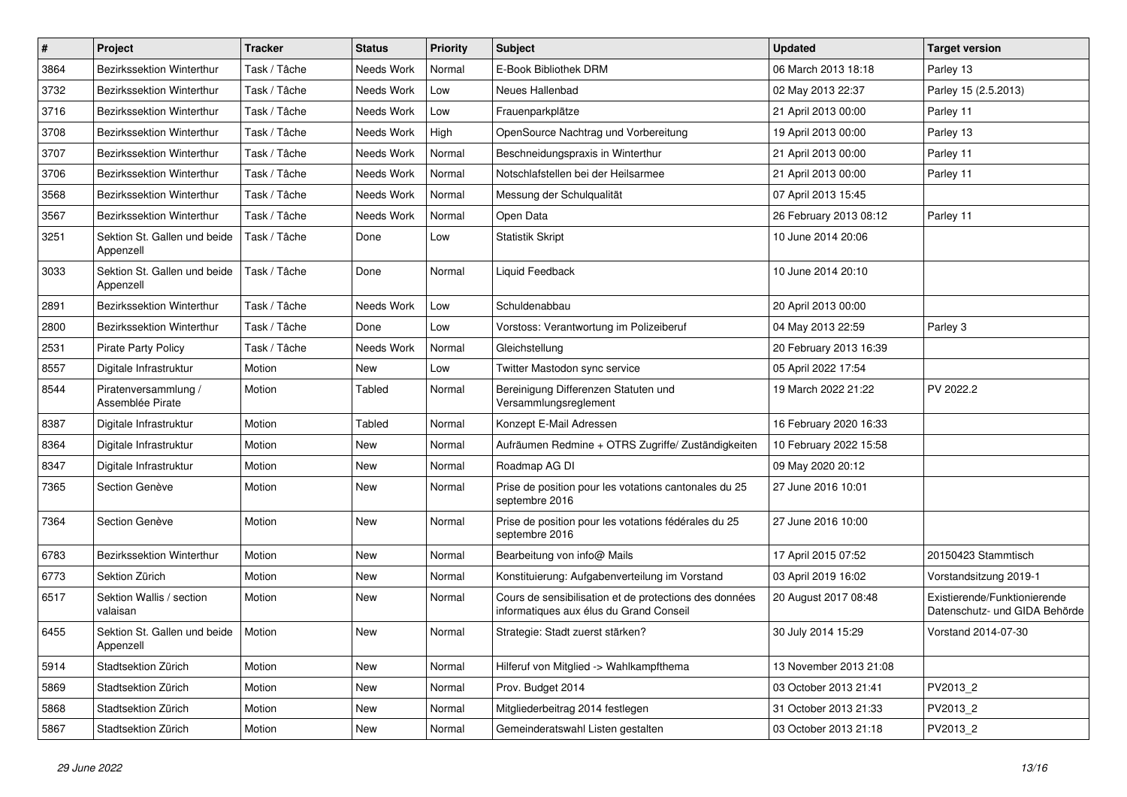| $\pmb{\#}$ | Project                                            | <b>Tracker</b> | <b>Status</b> | <b>Priority</b> | <b>Subject</b>                                                                                    | <b>Updated</b>         | <b>Target version</b>                                         |
|------------|----------------------------------------------------|----------------|---------------|-----------------|---------------------------------------------------------------------------------------------------|------------------------|---------------------------------------------------------------|
| 3864       | <b>Bezirkssektion Winterthur</b>                   | Task / Tâche   | Needs Work    | Normal          | E-Book Bibliothek DRM                                                                             | 06 March 2013 18:18    | Parley 13                                                     |
| 3732       | Bezirkssektion Winterthur                          | Task / Tâche   | Needs Work    | Low             | Neues Hallenbad                                                                                   | 02 May 2013 22:37      | Parley 15 (2.5.2013)                                          |
| 3716       | <b>Bezirkssektion Winterthur</b>                   | Task / Tâche   | Needs Work    | Low             | Frauenparkplätze                                                                                  | 21 April 2013 00:00    | Parley 11                                                     |
| 3708       | Bezirkssektion Winterthur                          | Task / Tâche   | Needs Work    | High            | OpenSource Nachtrag und Vorbereitung                                                              | 19 April 2013 00:00    | Parley 13                                                     |
| 3707       | <b>Bezirkssektion Winterthur</b>                   | Task / Tâche   | Needs Work    | Normal          | Beschneidungspraxis in Winterthur                                                                 | 21 April 2013 00:00    | Parley 11                                                     |
| 3706       | Bezirkssektion Winterthur                          | Task / Tâche   | Needs Work    | Normal          | Notschlafstellen bei der Heilsarmee                                                               | 21 April 2013 00:00    | Parley 11                                                     |
| 3568       | Bezirkssektion Winterthur                          | Task / Tâche   | Needs Work    | Normal          | Messung der Schulqualität                                                                         | 07 April 2013 15:45    |                                                               |
| 3567       | <b>Bezirkssektion Winterthur</b>                   | Task / Tâche   | Needs Work    | Normal          | Open Data                                                                                         | 26 February 2013 08:12 | Parley 11                                                     |
| 3251       | Sektion St. Gallen und beide<br>Appenzell          | Task / Tâche   | Done          | Low             | <b>Statistik Skript</b>                                                                           | 10 June 2014 20:06     |                                                               |
| 3033       | Sektion St. Gallen und beide<br>Appenzell          | Task / Tâche   | Done          | Normal          | Liquid Feedback                                                                                   | 10 June 2014 20:10     |                                                               |
| 2891       | Bezirkssektion Winterthur                          | Task / Tâche   | Needs Work    | Low             | Schuldenabbau                                                                                     | 20 April 2013 00:00    |                                                               |
| 2800       | Bezirkssektion Winterthur                          | Task / Tâche   | Done          | Low             | Vorstoss: Verantwortung im Polizeiberuf                                                           | 04 May 2013 22:59      | Parley 3                                                      |
| 2531       | <b>Pirate Party Policy</b>                         | Task / Tâche   | Needs Work    | Normal          | Gleichstellung                                                                                    | 20 February 2013 16:39 |                                                               |
| 8557       | Digitale Infrastruktur                             | Motion         | New           | Low             | Twitter Mastodon sync service                                                                     | 05 April 2022 17:54    |                                                               |
| 8544       | Piratenversammlung /<br>Assemblée Pirate           | Motion         | Tabled        | Normal          | Bereinigung Differenzen Statuten und<br>Versammlungsreglement                                     | 19 March 2022 21:22    | PV 2022.2                                                     |
| 8387       | Digitale Infrastruktur                             | Motion         | Tabled        | Normal          | Konzept E-Mail Adressen                                                                           | 16 February 2020 16:33 |                                                               |
| 8364       | Digitale Infrastruktur                             | Motion         | New           | Normal          | Aufräumen Redmine + OTRS Zugriffe/ Zuständigkeiten                                                | 10 February 2022 15:58 |                                                               |
| 8347       | Digitale Infrastruktur                             | Motion         | New           | Normal          | Roadmap AG DI                                                                                     | 09 May 2020 20:12      |                                                               |
| 7365       | Section Genève                                     | Motion         | New           | Normal          | Prise de position pour les votations cantonales du 25<br>septembre 2016                           | 27 June 2016 10:01     |                                                               |
| 7364       | Section Genève                                     | Motion         | <b>New</b>    | Normal          | Prise de position pour les votations fédérales du 25<br>septembre 2016                            | 27 June 2016 10:00     |                                                               |
| 6783       | Bezirkssektion Winterthur                          | Motion         | <b>New</b>    | Normal          | Bearbeitung von info@ Mails                                                                       | 17 April 2015 07:52    | 20150423 Stammtisch                                           |
| 6773       | Sektion Zürich                                     | Motion         | New           | Normal          | Konstituierung: Aufgabenverteilung im Vorstand                                                    | 03 April 2019 16:02    | Vorstandsitzung 2019-1                                        |
| 6517       | Sektion Wallis / section<br>valaisan               | Motion         | New           | Normal          | Cours de sensibilisation et de protections des données<br>informatiques aux élus du Grand Conseil | 20 August 2017 08:48   | Existierende/Funktionierende<br>Datenschutz- und GIDA Behörde |
| 6455       | Sektion St. Gallen und beide   Motion<br>Appenzell |                | New           | Normal          | Strategie: Stadt zuerst stärken?                                                                  | 30 July 2014 15:29     | Vorstand 2014-07-30                                           |
| 5914       | Stadtsektion Zürich                                | Motion         | New           | Normal          | Hilferuf von Mitglied -> Wahlkampfthema                                                           | 13 November 2013 21:08 |                                                               |
| 5869       | Stadtsektion Zürich                                | Motion         | New           | Normal          | Prov. Budget 2014                                                                                 | 03 October 2013 21:41  | PV2013_2                                                      |
| 5868       | Stadtsektion Zürich                                | Motion         | New           | Normal          | Mitgliederbeitrag 2014 festlegen                                                                  | 31 October 2013 21:33  | PV2013_2                                                      |
| 5867       | Stadtsektion Zürich                                | Motion         | New           | Normal          | Gemeinderatswahl Listen gestalten                                                                 | 03 October 2013 21:18  | PV2013_2                                                      |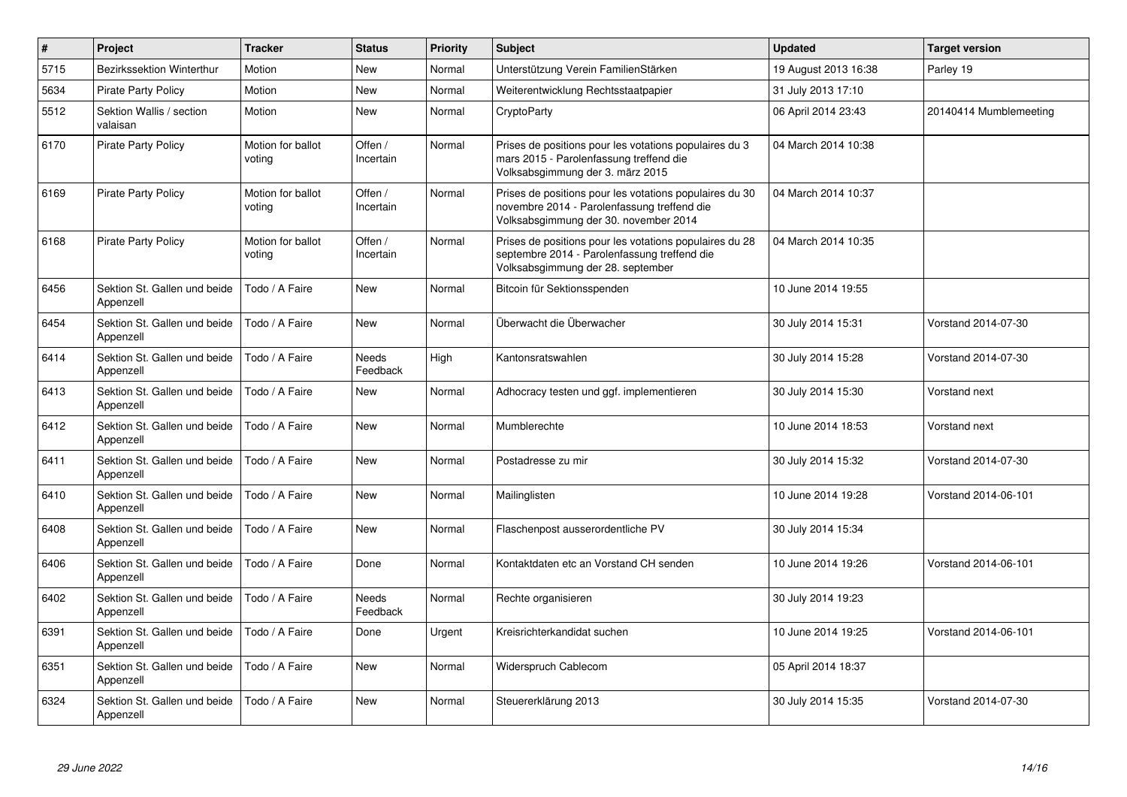| $\pmb{\#}$ | Project                                   | <b>Tracker</b>              | <b>Status</b>            | <b>Priority</b> | <b>Subject</b>                                                                                                                                  | <b>Updated</b>       | <b>Target version</b>  |
|------------|-------------------------------------------|-----------------------------|--------------------------|-----------------|-------------------------------------------------------------------------------------------------------------------------------------------------|----------------------|------------------------|
| 5715       | <b>Bezirkssektion Winterthur</b>          | Motion                      | New                      | Normal          | Unterstützung Verein FamilienStärken                                                                                                            | 19 August 2013 16:38 | Parley 19              |
| 5634       | <b>Pirate Party Policy</b>                | Motion                      | New                      | Normal          | Weiterentwicklung Rechtsstaatpapier                                                                                                             | 31 July 2013 17:10   |                        |
| 5512       | Sektion Wallis / section<br>valaisan      | Motion                      | New                      | Normal          | CryptoParty                                                                                                                                     | 06 April 2014 23:43  | 20140414 Mumblemeeting |
| 6170       | <b>Pirate Party Policy</b>                | Motion for ballot<br>voting | Offen /<br>Incertain     | Normal          | Prises de positions pour les votations populaires du 3<br>mars 2015 - Parolenfassung treffend die<br>Volksabsgimmung der 3. märz 2015           | 04 March 2014 10:38  |                        |
| 6169       | <b>Pirate Party Policy</b>                | Motion for ballot<br>voting | Offen /<br>Incertain     | Normal          | Prises de positions pour les votations populaires du 30<br>novembre 2014 - Parolenfassung treffend die<br>Volksabsgimmung der 30. november 2014 | 04 March 2014 10:37  |                        |
| 6168       | <b>Pirate Party Policy</b>                | Motion for ballot<br>voting | Offen /<br>Incertain     | Normal          | Prises de positions pour les votations populaires du 28<br>septembre 2014 - Parolenfassung treffend die<br>Volksabsgimmung der 28. september    | 04 March 2014 10:35  |                        |
| 6456       | Sektion St. Gallen und beide<br>Appenzell | Todo / A Faire              | <b>New</b>               | Normal          | Bitcoin für Sektionsspenden                                                                                                                     | 10 June 2014 19:55   |                        |
| 6454       | Sektion St. Gallen und beide<br>Appenzell | Todo / A Faire              | New                      | Normal          | Überwacht die Überwacher                                                                                                                        | 30 July 2014 15:31   | Vorstand 2014-07-30    |
| 6414       | Sektion St. Gallen und beide<br>Appenzell | Todo / A Faire              | <b>Needs</b><br>Feedback | High            | Kantonsratswahlen                                                                                                                               | 30 July 2014 15:28   | Vorstand 2014-07-30    |
| 6413       | Sektion St. Gallen und beide<br>Appenzell | Todo / A Faire              | <b>New</b>               | Normal          | Adhocracy testen und ggf. implementieren                                                                                                        | 30 July 2014 15:30   | Vorstand next          |
| 6412       | Sektion St. Gallen und beide<br>Appenzell | Todo / A Faire              | <b>New</b>               | Normal          | Mumblerechte                                                                                                                                    | 10 June 2014 18:53   | Vorstand next          |
| 6411       | Sektion St. Gallen und beide<br>Appenzell | Todo / A Faire              | New                      | Normal          | Postadresse zu mir                                                                                                                              | 30 July 2014 15:32   | Vorstand 2014-07-30    |
| 6410       | Sektion St. Gallen und beide<br>Appenzell | Todo / A Faire              | <b>New</b>               | Normal          | Mailinglisten                                                                                                                                   | 10 June 2014 19:28   | Vorstand 2014-06-101   |
| 6408       | Sektion St. Gallen und beide<br>Appenzell | Todo / A Faire              | New                      | Normal          | Flaschenpost ausserordentliche PV                                                                                                               | 30 July 2014 15:34   |                        |
| 6406       | Sektion St. Gallen und beide<br>Appenzell | Todo / A Faire              | Done                     | Normal          | Kontaktdaten etc an Vorstand CH senden                                                                                                          | 10 June 2014 19:26   | Vorstand 2014-06-101   |
| 6402       | Sektion St. Gallen und beide<br>Appenzell | Todo / A Faire              | Needs<br>Feedback        | Normal          | Rechte organisieren                                                                                                                             | 30 July 2014 19:23   |                        |
| 6391       | Sektion St. Gallen und beide<br>Appenzell | Todo / A Faire              | Done                     | Urgent          | Kreisrichterkandidat suchen                                                                                                                     | 10 June 2014 19:25   | Vorstand 2014-06-101   |
| 6351       | Sektion St. Gallen und beide<br>Appenzell | Todo / A Faire              | New                      | Normal          | Widerspruch Cablecom                                                                                                                            | 05 April 2014 18:37  |                        |
| 6324       | Sektion St. Gallen und beide<br>Appenzell | Todo / A Faire              | New                      | Normal          | Steuererklärung 2013                                                                                                                            | 30 July 2014 15:35   | Vorstand 2014-07-30    |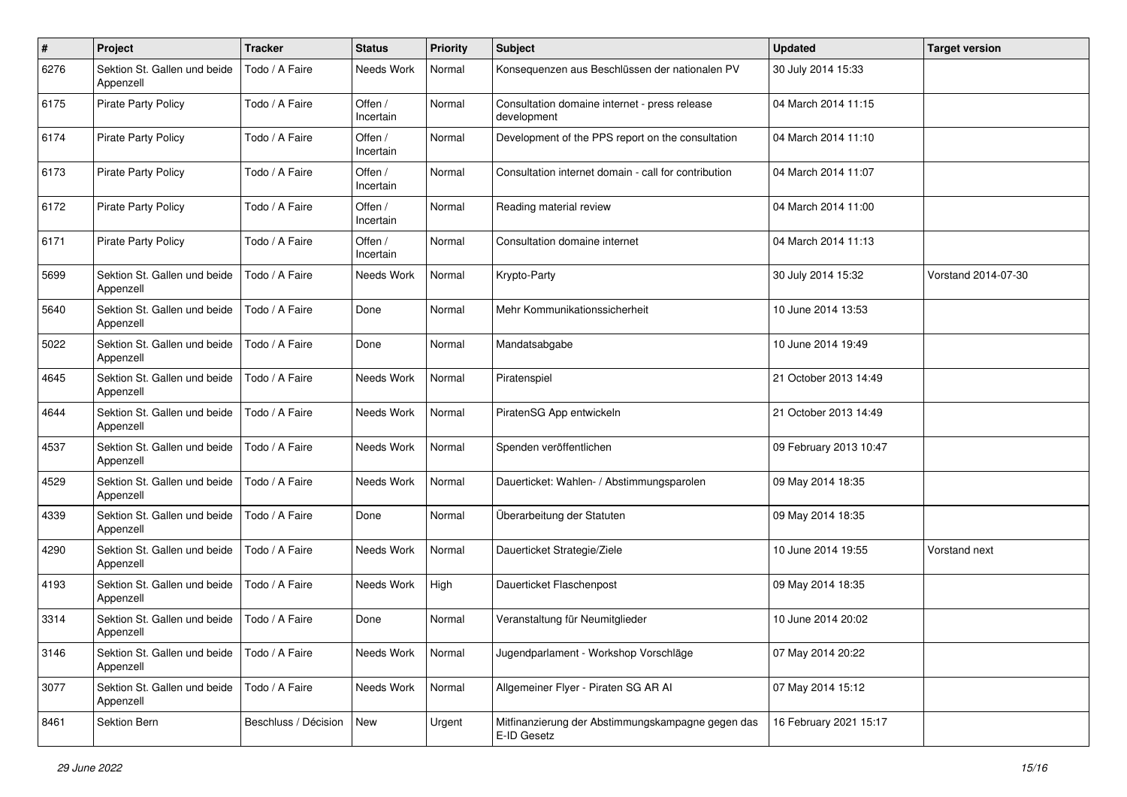| $\pmb{\#}$ | Project                                   | <b>Tracker</b>       | <b>Status</b>        | <b>Priority</b> | <b>Subject</b>                                                   | <b>Updated</b>         | <b>Target version</b> |
|------------|-------------------------------------------|----------------------|----------------------|-----------------|------------------------------------------------------------------|------------------------|-----------------------|
| 6276       | Sektion St. Gallen und beide<br>Appenzell | Todo / A Faire       | Needs Work           | Normal          | Konsequenzen aus Beschlüssen der nationalen PV                   | 30 July 2014 15:33     |                       |
| 6175       | <b>Pirate Party Policy</b>                | Todo / A Faire       | Offen /<br>Incertain | Normal          | Consultation domaine internet - press release<br>development     | 04 March 2014 11:15    |                       |
| 6174       | <b>Pirate Party Policy</b>                | Todo / A Faire       | Offen /<br>Incertain | Normal          | Development of the PPS report on the consultation                | 04 March 2014 11:10    |                       |
| 6173       | <b>Pirate Party Policy</b>                | Todo / A Faire       | Offen /<br>Incertain | Normal          | Consultation internet domain - call for contribution             | 04 March 2014 11:07    |                       |
| 6172       | Pirate Party Policy                       | Todo / A Faire       | Offen /<br>Incertain | Normal          | Reading material review                                          | 04 March 2014 11:00    |                       |
| 6171       | Pirate Party Policy                       | Todo / A Faire       | Offen /<br>Incertain | Normal          | Consultation domaine internet                                    | 04 March 2014 11:13    |                       |
| 5699       | Sektion St. Gallen und beide<br>Appenzell | Todo / A Faire       | Needs Work           | Normal          | Krypto-Party                                                     | 30 July 2014 15:32     | Vorstand 2014-07-30   |
| 5640       | Sektion St. Gallen und beide<br>Appenzell | Todo / A Faire       | Done                 | Normal          | Mehr Kommunikationssicherheit                                    | 10 June 2014 13:53     |                       |
| 5022       | Sektion St. Gallen und beide<br>Appenzell | Todo / A Faire       | Done                 | Normal          | Mandatsabgabe                                                    | 10 June 2014 19:49     |                       |
| 4645       | Sektion St. Gallen und beide<br>Appenzell | Todo / A Faire       | Needs Work           | Normal          | Piratenspiel                                                     | 21 October 2013 14:49  |                       |
| 4644       | Sektion St. Gallen und beide<br>Appenzell | Todo / A Faire       | Needs Work           | Normal          | PiratenSG App entwickeln                                         | 21 October 2013 14:49  |                       |
| 4537       | Sektion St. Gallen und beide<br>Appenzell | Todo / A Faire       | Needs Work           | Normal          | Spenden veröffentlichen                                          | 09 February 2013 10:47 |                       |
| 4529       | Sektion St. Gallen und beide<br>Appenzell | Todo / A Faire       | Needs Work           | Normal          | Dauerticket: Wahlen- / Abstimmungsparolen                        | 09 May 2014 18:35      |                       |
| 4339       | Sektion St. Gallen und beide<br>Appenzell | Todo / A Faire       | Done                 | Normal          | Überarbeitung der Statuten                                       | 09 May 2014 18:35      |                       |
| 4290       | Sektion St. Gallen und beide<br>Appenzell | Todo / A Faire       | Needs Work           | Normal          | Dauerticket Strategie/Ziele                                      | 10 June 2014 19:55     | Vorstand next         |
| 4193       | Sektion St. Gallen und beide<br>Appenzell | Todo / A Faire       | Needs Work           | High            | Dauerticket Flaschenpost                                         | 09 May 2014 18:35      |                       |
| 3314       | Sektion St. Gallen und beide<br>Appenzell | Todo / A Faire       | Done                 | Normal          | Veranstaltung für Neumitglieder                                  | 10 June 2014 20:02     |                       |
| 3146       | Sektion St. Gallen und beide<br>Appenzell | Todo / A Faire       | Needs Work           | Normal          | Jugendparlament - Workshop Vorschläge                            | 07 May 2014 20:22      |                       |
| 3077       | Sektion St. Gallen und beide<br>Appenzell | Todo / A Faire       | Needs Work           | Normal          | Allgemeiner Flyer - Piraten SG AR Al                             | 07 May 2014 15:12      |                       |
| 8461       | Sektion Bern                              | Beschluss / Décision | New                  | Urgent          | Mitfinanzierung der Abstimmungskampagne gegen das<br>E-ID Gesetz | 16 February 2021 15:17 |                       |